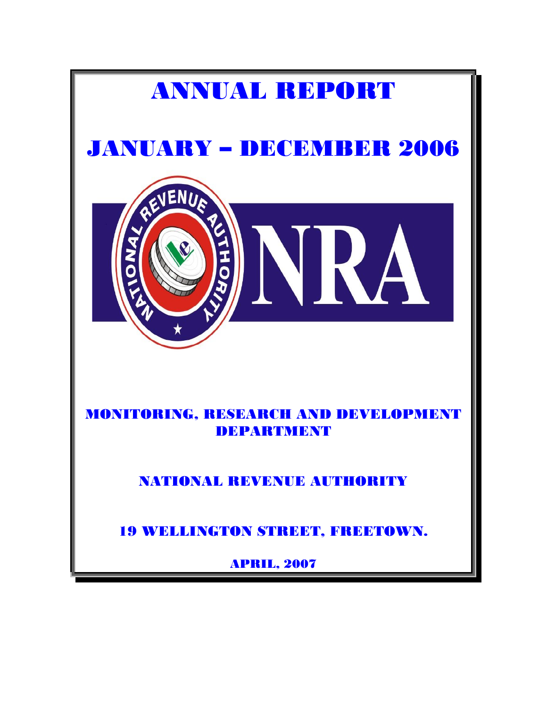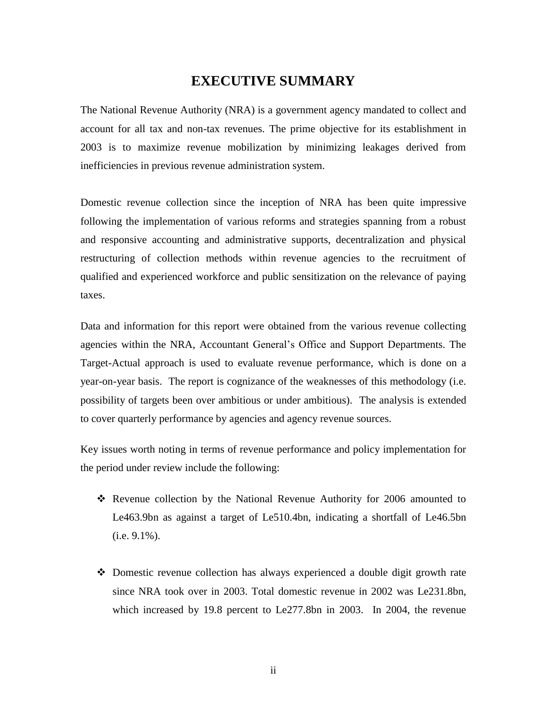# **EXECUTIVE SUMMARY**

<span id="page-1-0"></span>The National Revenue Authority (NRA) is a government agency mandated to collect and account for all tax and non-tax revenues. The prime objective for its establishment in 2003 is to maximize revenue mobilization by minimizing leakages derived from inefficiencies in previous revenue administration system.

Domestic revenue collection since the inception of NRA has been quite impressive following the implementation of various reforms and strategies spanning from a robust and responsive accounting and administrative supports, decentralization and physical restructuring of collection methods within revenue agencies to the recruitment of qualified and experienced workforce and public sensitization on the relevance of paying taxes.

Data and information for this report were obtained from the various revenue collecting agencies within the NRA, Accountant General's Office and Support Departments. The Target-Actual approach is used to evaluate revenue performance, which is done on a year-on-year basis. The report is cognizance of the weaknesses of this methodology (i.e. possibility of targets been over ambitious or under ambitious). The analysis is extended to cover quarterly performance by agencies and agency revenue sources.

Key issues worth noting in terms of revenue performance and policy implementation for the period under review include the following:

- Revenue collection by the National Revenue Authority for 2006 amounted to Le463.9bn as against a target of Le510.4bn, indicating a shortfall of Le46.5bn (i.e. 9.1%).
- Domestic revenue collection has always experienced a double digit growth rate since NRA took over in 2003. Total domestic revenue in 2002 was Le231.8bn, which increased by 19.8 percent to Le277.8bn in 2003. In 2004, the revenue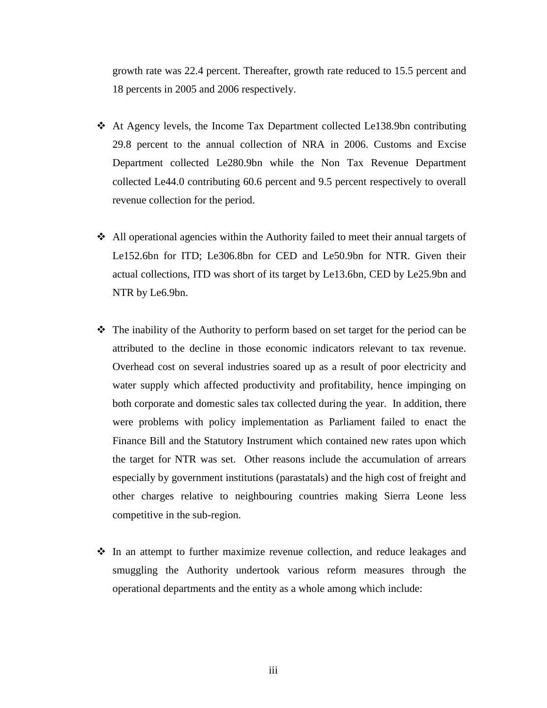growth rate was 22.4 percent. Thereafter, growth rate reduced to 15.5 percent and 18 percents in 2005 and 2006 respectively.

- At Agency levels, the Income Tax Department collected Le138.9bn contributing 29.8 percent to the annual collection of NRA in 2006. Customs and Excise Department collected Le280.9bn while the Non Tax Revenue Department collected Le44.0 contributing 60.6 percent and 9.5 percent respectively to overall revenue collection for the period.
- All operational agencies within the Authority failed to meet their annual targets of Le152.6bn for ITD; Le306.8bn for CED and Le50.9bn for NTR. Given their actual collections, ITD was short of its target by Le13.6bn, CED by Le25.9bn and NTR by Le6.9bn.
- $\hat{\mathbf{v}}$  The inability of the Authority to perform based on set target for the period can be attributed to the decline in those economic indicators relevant to tax revenue. Overhead cost on several industries soared up as a result of poor electricity and water supply which affected productivity and profitability, hence impinging on both corporate and domestic sales tax collected during the year. In addition, there were problems with policy implementation as Parliament failed to enact the Finance Bill and the Statutory Instrument which contained new rates upon which the target for NTR was set. Other reasons include the accumulation of arrears especially by government institutions (parastatals) and the high cost of freight and other charges relative to neighbouring countries making Sierra Leone less competitive in the sub-region.
- $\div$  In an attempt to further maximize revenue collection, and reduce leakages and smuggling the Authority undertook various reform measures through the operational departments and the entity as a whole among which include: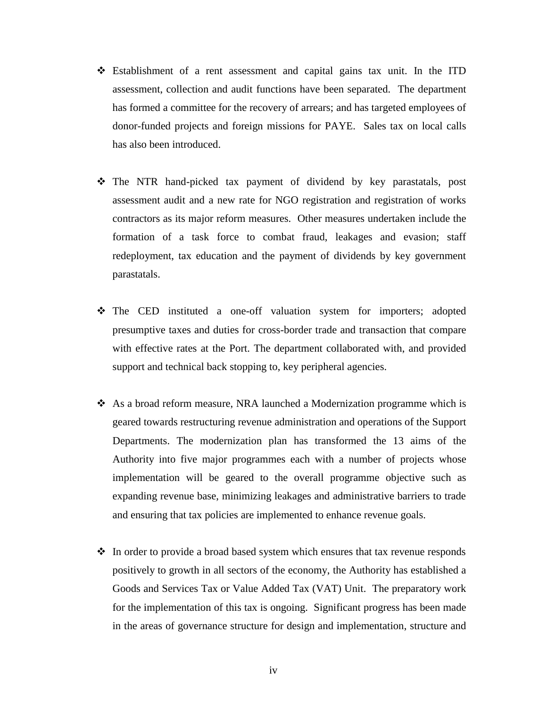- Establishment of a rent assessment and capital gains tax unit. In the ITD assessment, collection and audit functions have been separated. The department has formed a committee for the recovery of arrears; and has targeted employees of donor-funded projects and foreign missions for PAYE. Sales tax on local calls has also been introduced.
- The NTR hand-picked tax payment of dividend by key parastatals, post assessment audit and a new rate for NGO registration and registration of works contractors as its major reform measures. Other measures undertaken include the formation of a task force to combat fraud, leakages and evasion; staff redeployment, tax education and the payment of dividends by key government parastatals.
- The CED instituted a one-off valuation system for importers; adopted presumptive taxes and duties for cross-border trade and transaction that compare with effective rates at the Port. The department collaborated with, and provided support and technical back stopping to, key peripheral agencies.
- $\triangle$  As a broad reform measure, NRA launched a Modernization programme which is geared towards restructuring revenue administration and operations of the Support Departments. The modernization plan has transformed the 13 aims of the Authority into five major programmes each with a number of projects whose implementation will be geared to the overall programme objective such as expanding revenue base, minimizing leakages and administrative barriers to trade and ensuring that tax policies are implemented to enhance revenue goals.
- $\div$  In order to provide a broad based system which ensures that tax revenue responds positively to growth in all sectors of the economy, the Authority has established a Goods and Services Tax or Value Added Tax (VAT) Unit. The preparatory work for the implementation of this tax is ongoing. Significant progress has been made in the areas of governance structure for design and implementation, structure and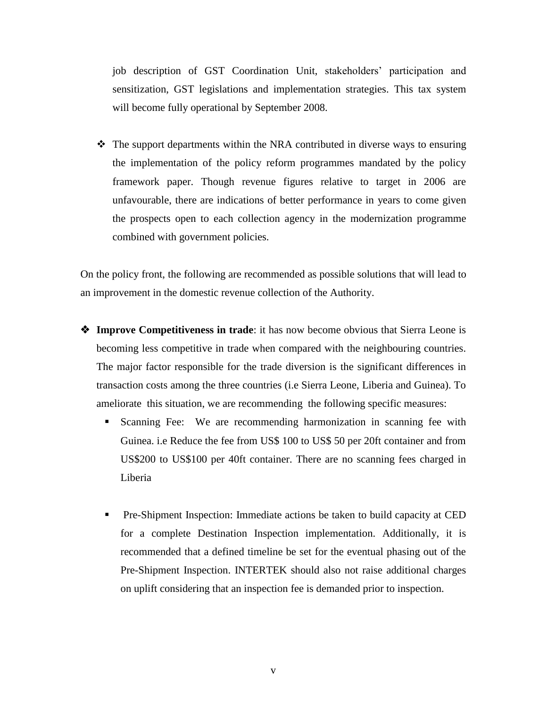job description of GST Coordination Unit, stakeholders' participation and sensitization, GST legislations and implementation strategies. This tax system will become fully operational by September 2008.

• The support departments within the NRA contributed in diverse ways to ensuring the implementation of the policy reform programmes mandated by the policy framework paper. Though revenue figures relative to target in 2006 are unfavourable, there are indications of better performance in years to come given the prospects open to each collection agency in the modernization programme combined with government policies.

On the policy front, the following are recommended as possible solutions that will lead to an improvement in the domestic revenue collection of the Authority.

- **Improve Competitiveness in trade**: it has now become obvious that Sierra Leone is becoming less competitive in trade when compared with the neighbouring countries. The major factor responsible for the trade diversion is the significant differences in transaction costs among the three countries (i.e Sierra Leone, Liberia and Guinea). To ameliorate this situation, we are recommending the following specific measures:
	- Scanning Fee: We are recommending harmonization in scanning fee with Guinea. i.e Reduce the fee from US\$ 100 to US\$ 50 per 20ft container and from US\$200 to US\$100 per 40ft container. There are no scanning fees charged in Liberia
	- Pre-Shipment Inspection: Immediate actions be taken to build capacity at CED for a complete Destination Inspection implementation. Additionally, it is recommended that a defined timeline be set for the eventual phasing out of the Pre-Shipment Inspection. INTERTEK should also not raise additional charges on uplift considering that an inspection fee is demanded prior to inspection.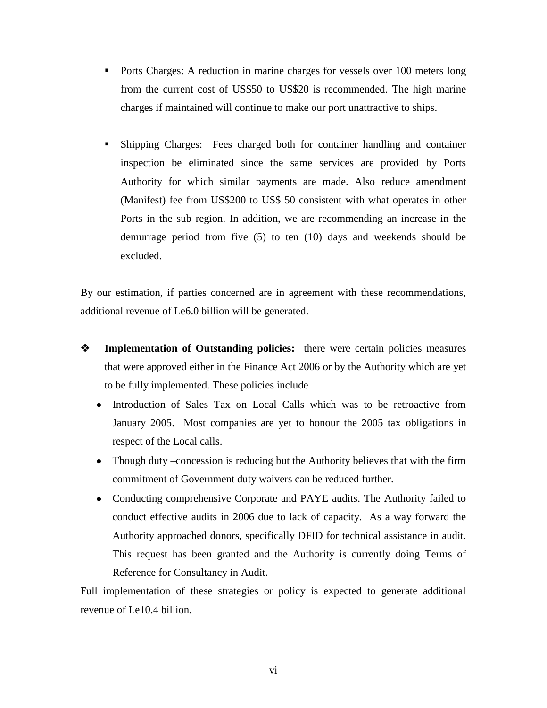- **Ports Charges:** A reduction in marine charges for vessels over 100 meters long from the current cost of US\$50 to US\$20 is recommended. The high marine charges if maintained will continue to make our port unattractive to ships.
- Shipping Charges: Fees charged both for container handling and container inspection be eliminated since the same services are provided by Ports Authority for which similar payments are made. Also reduce amendment (Manifest) fee from US\$200 to US\$ 50 consistent with what operates in other Ports in the sub region. In addition, we are recommending an increase in the demurrage period from five (5) to ten (10) days and weekends should be excluded.

By our estimation, if parties concerned are in agreement with these recommendations, additional revenue of Le6.0 billion will be generated.

- **EXECUTE:** Implementation of Outstanding policies: there were certain policies measures that were approved either in the Finance Act 2006 or by the Authority which are yet to be fully implemented. These policies include
	- Introduction of Sales Tax on Local Calls which was to be retroactive from January 2005. Most companies are yet to honour the 2005 tax obligations in respect of the Local calls.
	- Though duty –concession is reducing but the Authority believes that with the firm commitment of Government duty waivers can be reduced further.
	- Conducting comprehensive Corporate and PAYE audits. The Authority failed to conduct effective audits in 2006 due to lack of capacity. As a way forward the Authority approached donors, specifically DFID for technical assistance in audit. This request has been granted and the Authority is currently doing Terms of Reference for Consultancy in Audit.

Full implementation of these strategies or policy is expected to generate additional revenue of Le10.4 billion.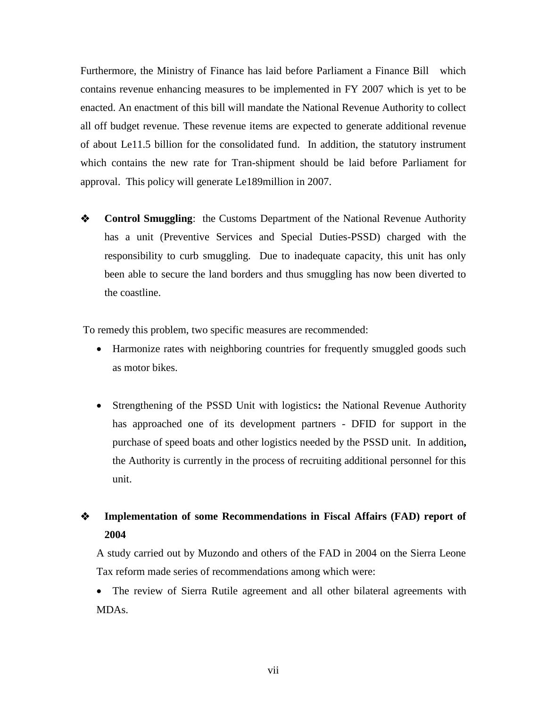Furthermore, the Ministry of Finance has laid before Parliament a Finance Bill which contains revenue enhancing measures to be implemented in FY 2007 which is yet to be enacted. An enactment of this bill will mandate the National Revenue Authority to collect all off budget revenue. These revenue items are expected to generate additional revenue of about Le11.5 billion for the consolidated fund. In addition, the statutory instrument which contains the new rate for Tran-shipment should be laid before Parliament for approval. This policy will generate Le189million in 2007.

 **Control Smuggling**: the Customs Department of the National Revenue Authority has a unit (Preventive Services and Special Duties-PSSD) charged with the responsibility to curb smuggling. Due to inadequate capacity, this unit has only been able to secure the land borders and thus smuggling has now been diverted to the coastline.

To remedy this problem, two specific measures are recommended:

- Harmonize rates with neighboring countries for frequently smuggled goods such as motor bikes.
- Strengthening of the PSSD Unit with logistics**:** the National Revenue Authority has approached one of its development partners - DFID for support in the purchase of speed boats and other logistics needed by the PSSD unit. In addition**,**  the Authority is currently in the process of recruiting additional personnel for this unit.

# **Implementation of some Recommendations in Fiscal Affairs (FAD) report of 2004**

A study carried out by Muzondo and others of the FAD in 2004 on the Sierra Leone Tax reform made series of recommendations among which were:

 The review of Sierra Rutile agreement and all other bilateral agreements with MDAs.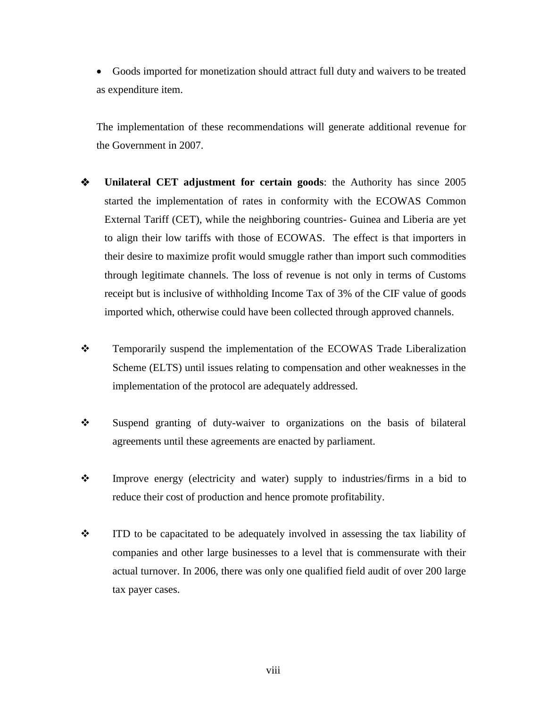Goods imported for monetization should attract full duty and waivers to be treated as expenditure item.

The implementation of these recommendations will generate additional revenue for the Government in 2007.

- **Unilateral CET adjustment for certain goods**: the Authority has since 2005 started the implementation of rates in conformity with the ECOWAS Common External Tariff (CET), while the neighboring countries- Guinea and Liberia are yet to align their low tariffs with those of ECOWAS. The effect is that importers in their desire to maximize profit would smuggle rather than import such commodities through legitimate channels. The loss of revenue is not only in terms of Customs receipt but is inclusive of withholding Income Tax of 3% of the CIF value of goods imported which, otherwise could have been collected through approved channels.
- \* Temporarily suspend the implementation of the ECOWAS Trade Liberalization Scheme (ELTS) until issues relating to compensation and other weaknesses in the implementation of the protocol are adequately addressed.
- Suspend granting of duty-waiver to organizations on the basis of bilateral agreements until these agreements are enacted by parliament.
- Improve energy (electricity and water) supply to industries/firms in a bid to reduce their cost of production and hence promote profitability.
- ITD to be capacitated to be adequately involved in assessing the tax liability of companies and other large businesses to a level that is commensurate with their actual turnover. In 2006, there was only one qualified field audit of over 200 large tax payer cases.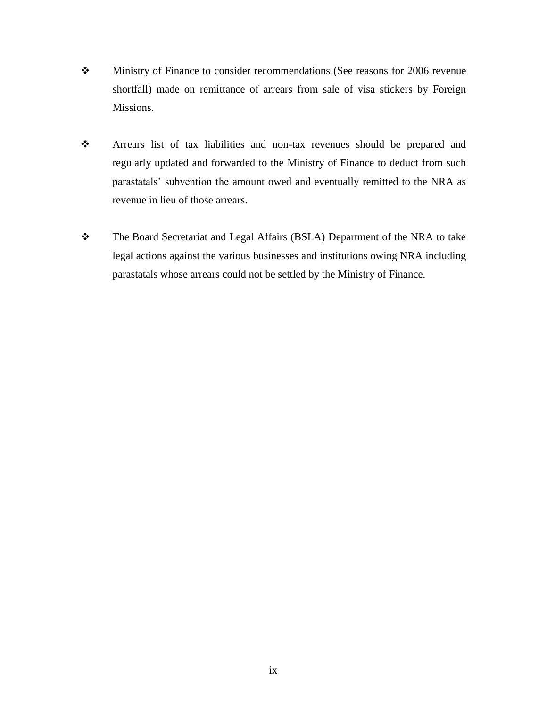- Ministry of Finance to consider recommendations (See reasons for 2006 revenue shortfall) made on remittance of arrears from sale of visa stickers by Foreign Missions.
- Arrears list of tax liabilities and non-tax revenues should be prepared and regularly updated and forwarded to the Ministry of Finance to deduct from such parastatals' subvention the amount owed and eventually remitted to the NRA as revenue in lieu of those arrears.
- \* The Board Secretariat and Legal Affairs (BSLA) Department of the NRA to take legal actions against the various businesses and institutions owing NRA including parastatals whose arrears could not be settled by the Ministry of Finance.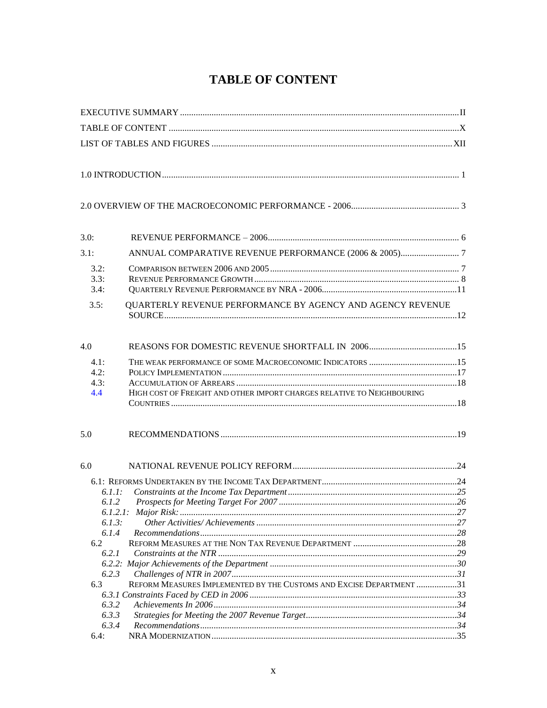# **TABLE OF CONTENT**

<span id="page-9-0"></span>

| 3.0:                                                               |                                                                        |  |
|--------------------------------------------------------------------|------------------------------------------------------------------------|--|
| 3.1:                                                               |                                                                        |  |
| 3.2:<br>3.3:<br>3.4:                                               |                                                                        |  |
| 3.5:                                                               | QUARTERLY REVENUE PERFORMANCE BY AGENCY AND AGENCY REVENUE             |  |
| 4.0                                                                |                                                                        |  |
| 4.1:<br>4.2:<br>4.3:<br>4.4                                        | HIGH COST OF FREIGHT AND OTHER IMPORT CHARGES RELATIVE TO NEIGHBOURING |  |
| 5.0                                                                |                                                                        |  |
| 6.0                                                                |                                                                        |  |
| 6.1.1:<br>6.1.2<br>6.1.3:<br>6.1.4<br>6.2<br>6.2.1<br>6.2.3<br>6.3 | REFORM MEASURES IMPLEMENTED BY THE CUSTOMS AND EXCISE DEPARTMENT 31    |  |
| 6.3.2<br>6.3.3<br>6.3.4<br>6.4:                                    |                                                                        |  |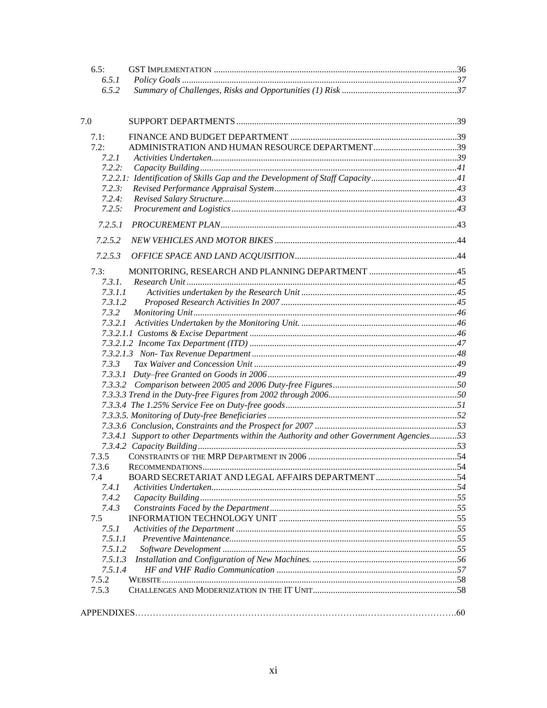| 6.5:    |                                                                                           |  |
|---------|-------------------------------------------------------------------------------------------|--|
| 6.5.1   |                                                                                           |  |
| 6.5.2   |                                                                                           |  |
|         |                                                                                           |  |
| 7.0     |                                                                                           |  |
| 7.1:    |                                                                                           |  |
| 7.2:    |                                                                                           |  |
| 7.2.1   |                                                                                           |  |
| 7.2.2:  |                                                                                           |  |
|         | 7.2.2.1: Identification of Skills Gap and the Development of Staff Capacity41             |  |
| 7.2.3:  |                                                                                           |  |
| 7.2.4:  |                                                                                           |  |
| 7.2.5:  |                                                                                           |  |
| 7.2.5.1 |                                                                                           |  |
| 7.2.5.2 |                                                                                           |  |
| 7.2.5.3 |                                                                                           |  |
| 7.3:    |                                                                                           |  |
| 7.3.1.  |                                                                                           |  |
| 7.3.1.1 |                                                                                           |  |
| 7.3.1.2 |                                                                                           |  |
| 7.3.2   |                                                                                           |  |
| 7.3.2.1 |                                                                                           |  |
|         |                                                                                           |  |
|         |                                                                                           |  |
|         |                                                                                           |  |
| 7.3.3   |                                                                                           |  |
|         |                                                                                           |  |
|         |                                                                                           |  |
|         |                                                                                           |  |
|         |                                                                                           |  |
|         |                                                                                           |  |
|         |                                                                                           |  |
|         | 7.3.4.1 Support to other Departments within the Authority and other Government Agencies53 |  |
|         |                                                                                           |  |
| 7.3.5   |                                                                                           |  |
| 7.3.6   |                                                                                           |  |
| 7.4     |                                                                                           |  |
| 7.4.1   |                                                                                           |  |
| 7.4.2   |                                                                                           |  |
| 7.4.3   |                                                                                           |  |
| 7.5     |                                                                                           |  |
| 7.5.1   |                                                                                           |  |
| 7.5.1.1 |                                                                                           |  |
| 7.5.1.2 |                                                                                           |  |
| 7.5.1.3 |                                                                                           |  |
| 7.5.1.4 |                                                                                           |  |
| 7.5.2   |                                                                                           |  |
| 7.5.3   |                                                                                           |  |
|         |                                                                                           |  |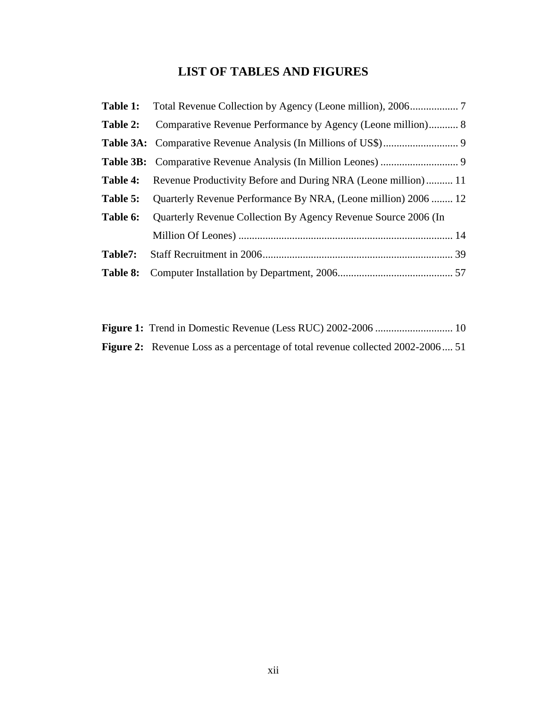# **LIST OF TABLES AND FIGURES**

<span id="page-11-0"></span>

| Table 2: | Comparative Revenue Performance by Agency (Leone million) 8                   |
|----------|-------------------------------------------------------------------------------|
|          |                                                                               |
|          |                                                                               |
|          | <b>Table 4:</b> Revenue Productivity Before and During NRA (Leone million) 11 |
| Table 5: | Quarterly Revenue Performance By NRA, (Leone million) 2006  12                |
| Table 6: | Quarterly Revenue Collection By Agency Revenue Source 2006 (In                |
|          |                                                                               |
| Table7:  |                                                                               |
| Table 8: |                                                                               |

| <b>Figure 2:</b> Revenue Loss as a percentage of total revenue collected 2002-2006 51 |  |
|---------------------------------------------------------------------------------------|--|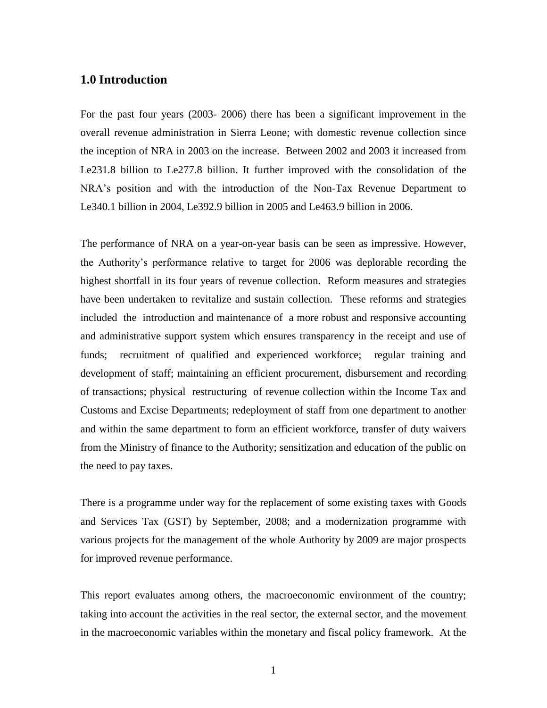## <span id="page-12-0"></span>**1.0 Introduction**

For the past four years (2003- 2006) there has been a significant improvement in the overall revenue administration in Sierra Leone; with domestic revenue collection since the inception of NRA in 2003 on the increase. Between 2002 and 2003 it increased from Le231.8 billion to Le277.8 billion. It further improved with the consolidation of the NRA's position and with the introduction of the Non-Tax Revenue Department to Le340.1 billion in 2004, Le392.9 billion in 2005 and Le463.9 billion in 2006.

The performance of NRA on a year-on-year basis can be seen as impressive. However, the Authority's performance relative to target for 2006 was deplorable recording the highest shortfall in its four years of revenue collection. Reform measures and strategies have been undertaken to revitalize and sustain collection. These reforms and strategies included the introduction and maintenance of a more robust and responsive accounting and administrative support system which ensures transparency in the receipt and use of funds; recruitment of qualified and experienced workforce; regular training and development of staff; maintaining an efficient procurement, disbursement and recording of transactions; physical restructuring of revenue collection within the Income Tax and Customs and Excise Departments; redeployment of staff from one department to another and within the same department to form an efficient workforce, transfer of duty waivers from the Ministry of finance to the Authority; sensitization and education of the public on the need to pay taxes.

There is a programme under way for the replacement of some existing taxes with Goods and Services Tax (GST) by September, 2008; and a modernization programme with various projects for the management of the whole Authority by 2009 are major prospects for improved revenue performance.

This report evaluates among others, the macroeconomic environment of the country; taking into account the activities in the real sector, the external sector, and the movement in the macroeconomic variables within the monetary and fiscal policy framework. At the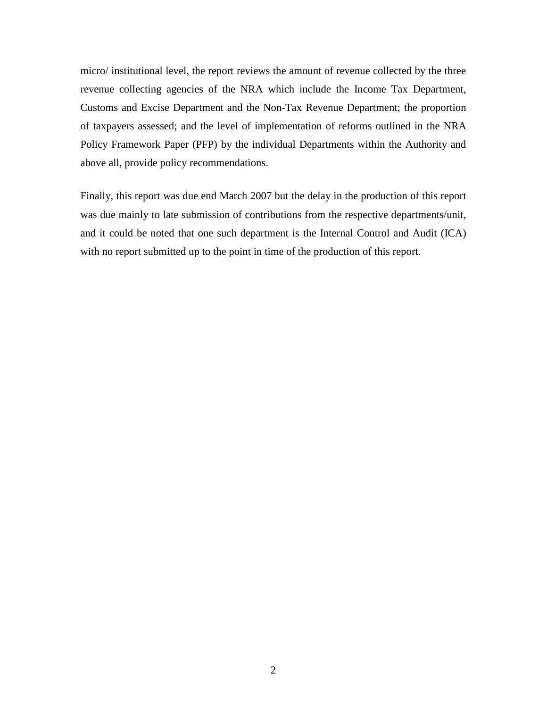micro/ institutional level, the report reviews the amount of revenue collected by the three revenue collecting agencies of the NRA which include the Income Tax Department, Customs and Excise Department and the Non-Tax Revenue Department; the proportion of taxpayers assessed; and the level of implementation of reforms outlined in the NRA Policy Framework Paper (PFP) by the individual Departments within the Authority and above all, provide policy recommendations.

Finally, this report was due end March 2007 but the delay in the production of this report was due mainly to late submission of contributions from the respective departments/unit, and it could be noted that one such department is the Internal Control and Audit (ICA) with no report submitted up to the point in time of the production of this report.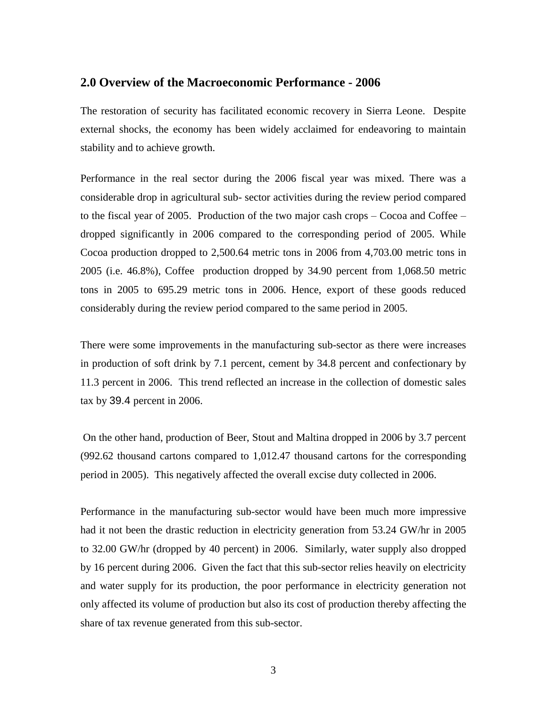## <span id="page-14-0"></span>**2.0 Overview of the Macroeconomic Performance - 2006**

The restoration of security has facilitated economic recovery in Sierra Leone. Despite external shocks, the economy has been widely acclaimed for endeavoring to maintain stability and to achieve growth.

Performance in the real sector during the 2006 fiscal year was mixed. There was a considerable drop in agricultural sub- sector activities during the review period compared to the fiscal year of 2005. Production of the two major cash crops – Cocoa and Coffee – dropped significantly in 2006 compared to the corresponding period of 2005. While Cocoa production dropped to 2,500.64 metric tons in 2006 from 4,703.00 metric tons in 2005 (i.e. 46.8%), Coffee production dropped by 34.90 percent from 1,068.50 metric tons in 2005 to 695.29 metric tons in 2006. Hence, export of these goods reduced considerably during the review period compared to the same period in 2005.

There were some improvements in the manufacturing sub-sector as there were increases in production of soft drink by 7.1 percent, cement by 34.8 percent and confectionary by 11.3 percent in 2006. This trend reflected an increase in the collection of domestic sales tax by 39.4 percent in 2006.

On the other hand, production of Beer, Stout and Maltina dropped in 2006 by 3.7 percent (992.62 thousand cartons compared to 1,012.47 thousand cartons for the corresponding period in 2005). This negatively affected the overall excise duty collected in 2006.

Performance in the manufacturing sub-sector would have been much more impressive had it not been the drastic reduction in electricity generation from 53.24 GW/hr in 2005 to 32.00 GW/hr (dropped by 40 percent) in 2006. Similarly, water supply also dropped by 16 percent during 2006. Given the fact that this sub-sector relies heavily on electricity and water supply for its production, the poor performance in electricity generation not only affected its volume of production but also its cost of production thereby affecting the share of tax revenue generated from this sub-sector.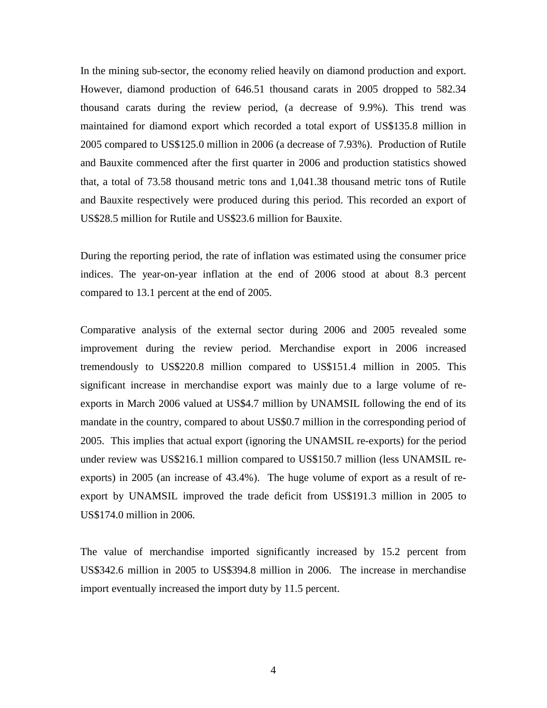In the mining sub-sector, the economy relied heavily on diamond production and export. However, diamond production of 646.51 thousand carats in 2005 dropped to 582.34 thousand carats during the review period, (a decrease of 9.9%). This trend was maintained for diamond export which recorded a total export of US\$135.8 million in 2005 compared to US\$125.0 million in 2006 (a decrease of 7.93%). Production of Rutile and Bauxite commenced after the first quarter in 2006 and production statistics showed that, a total of 73.58 thousand metric tons and 1,041.38 thousand metric tons of Rutile and Bauxite respectively were produced during this period. This recorded an export of US\$28.5 million for Rutile and US\$23.6 million for Bauxite.

During the reporting period, the rate of inflation was estimated using the consumer price indices. The year-on-year inflation at the end of 2006 stood at about 8.3 percent compared to 13.1 percent at the end of 2005.

Comparative analysis of the external sector during 2006 and 2005 revealed some improvement during the review period. Merchandise export in 2006 increased tremendously to US\$220.8 million compared to US\$151.4 million in 2005. This significant increase in merchandise export was mainly due to a large volume of reexports in March 2006 valued at US\$4.7 million by UNAMSIL following the end of its mandate in the country, compared to about US\$0.7 million in the corresponding period of 2005. This implies that actual export (ignoring the UNAMSIL re-exports) for the period under review was US\$216.1 million compared to US\$150.7 million (less UNAMSIL reexports) in 2005 (an increase of 43.4%). The huge volume of export as a result of reexport by UNAMSIL improved the trade deficit from US\$191.3 million in 2005 to US\$174.0 million in 2006.

The value of merchandise imported significantly increased by 15.2 percent from US\$342.6 million in 2005 to US\$394.8 million in 2006. The increase in merchandise import eventually increased the import duty by 11.5 percent.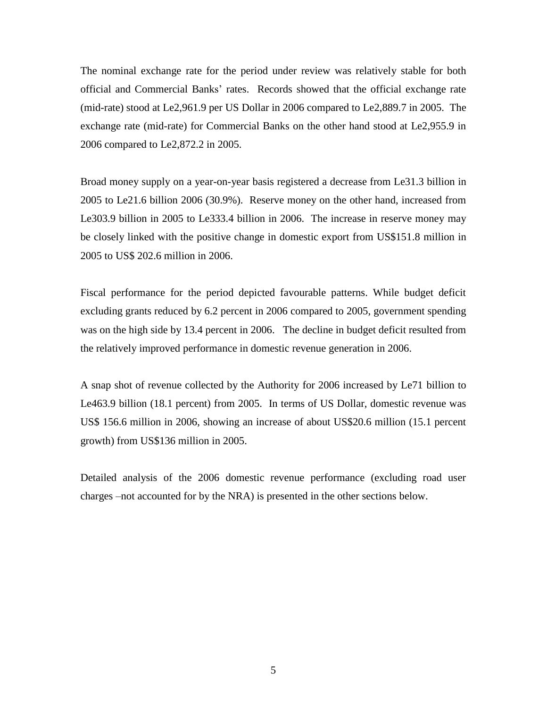The nominal exchange rate for the period under review was relatively stable for both official and Commercial Banks' rates. Records showed that the official exchange rate (mid-rate) stood at Le2,961.9 per US Dollar in 2006 compared to Le2,889.7 in 2005. The exchange rate (mid-rate) for Commercial Banks on the other hand stood at Le2,955.9 in 2006 compared to Le2,872.2 in 2005.

Broad money supply on a year-on-year basis registered a decrease from Le31.3 billion in 2005 to Le21.6 billion 2006 (30.9%). Reserve money on the other hand, increased from Le303.9 billion in 2005 to Le333.4 billion in 2006. The increase in reserve money may be closely linked with the positive change in domestic export from US\$151.8 million in 2005 to US\$ 202.6 million in 2006.

Fiscal performance for the period depicted favourable patterns. While budget deficit excluding grants reduced by 6.2 percent in 2006 compared to 2005, government spending was on the high side by 13.4 percent in 2006. The decline in budget deficit resulted from the relatively improved performance in domestic revenue generation in 2006.

A snap shot of revenue collected by the Authority for 2006 increased by Le71 billion to Le463.9 billion (18.1 percent) from 2005. In terms of US Dollar, domestic revenue was US\$ 156.6 million in 2006, showing an increase of about US\$20.6 million (15.1 percent growth) from US\$136 million in 2005.

Detailed analysis of the 2006 domestic revenue performance (excluding road user charges –not accounted for by the NRA) is presented in the other sections below.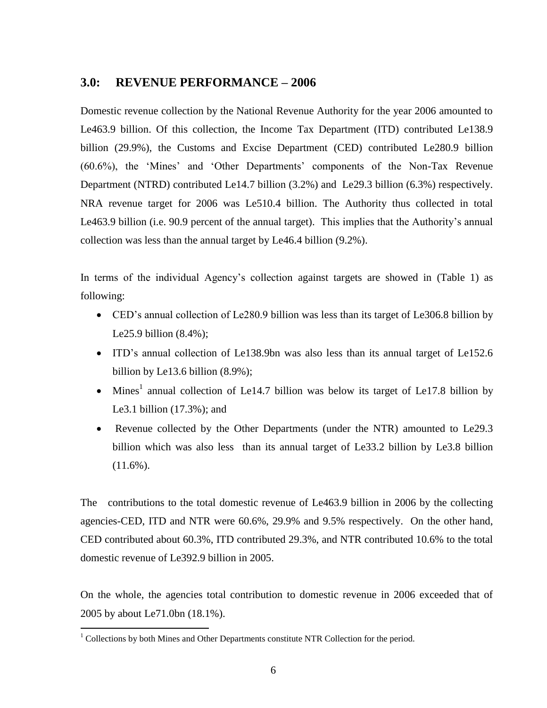## <span id="page-17-0"></span>**3.0: REVENUE PERFORMANCE – 2006**

Domestic revenue collection by the National Revenue Authority for the year 2006 amounted to Le463.9 billion. Of this collection, the Income Tax Department (ITD) contributed Le138.9 billion (29.9%), the Customs and Excise Department (CED) contributed Le280.9 billion (60.6%), the 'Mines' and 'Other Departments' components of the Non-Tax Revenue Department (NTRD) contributed Le14.7 billion (3.2%) and Le29.3 billion (6.3%) respectively. NRA revenue target for 2006 was Le510.4 billion. The Authority thus collected in total Le463.9 billion (i.e. 90.9 percent of the annual target). This implies that the Authority's annual collection was less than the annual target by Le46.4 billion (9.2%).

In terms of the individual Agency's collection against targets are showed in (Table 1) as following:

- CED's annual collection of Le280.9 billion was less than its target of Le306.8 billion by Le25.9 billion (8.4%);
- ITD's annual collection of Le138.9bn was also less than its annual target of Le152.6 billion by Le13.6 billion (8.9%);
- Mines<sup>1</sup> annual collection of Le14.7 billion was below its target of Le17.8 billion by Le3.1 billion (17.3%); and
- Revenue collected by the Other Departments (under the NTR) amounted to Le29.3 billion which was also less than its annual target of Le33.2 billion by Le3.8 billion  $(11.6\%)$ .

The contributions to the total domestic revenue of Le463.9 billion in 2006 by the collecting agencies-CED, ITD and NTR were 60.6%, 29.9% and 9.5% respectively. On the other hand, CED contributed about 60.3%, ITD contributed 29.3%, and NTR contributed 10.6% to the total domestic revenue of Le392.9 billion in 2005.

On the whole, the agencies total contribution to domestic revenue in 2006 exceeded that of 2005 by about Le71.0bn (18.1%).

 $\overline{a}$ 

 $1$  Collections by both Mines and Other Departments constitute NTR Collection for the period.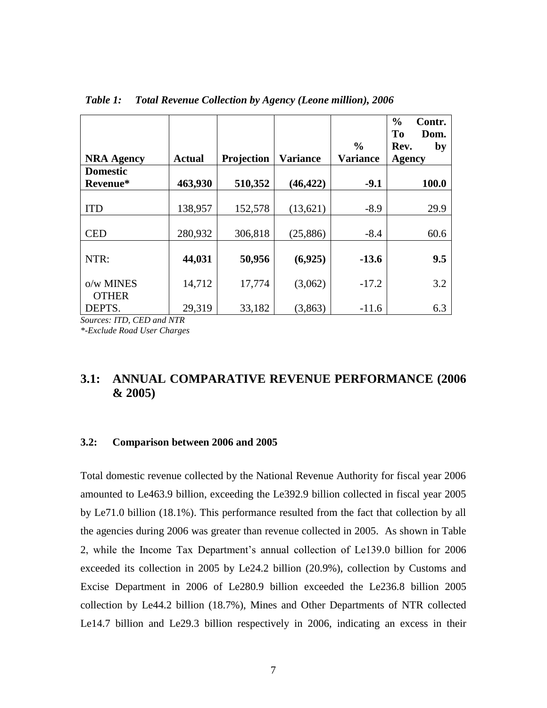|                           |               |            |                 | $\frac{0}{0}$   | $\frac{0}{0}$<br>Contr.<br>To<br>Dom.<br>Rev.<br>by |
|---------------------------|---------------|------------|-----------------|-----------------|-----------------------------------------------------|
| <b>NRA Agency</b>         | <b>Actual</b> | Projection | <b>Variance</b> | <b>Variance</b> | <b>Agency</b>                                       |
| <b>Domestic</b>           |               |            |                 |                 |                                                     |
| Revenue*                  | 463,930       | 510,352    | (46, 422)       | $-9.1$          | 100.0                                               |
|                           |               |            |                 |                 |                                                     |
| <b>ITD</b>                | 138,957       | 152,578    | (13,621)        | $-8.9$          | 29.9                                                |
|                           |               |            |                 |                 |                                                     |
| <b>CED</b>                | 280,932       | 306,818    | (25, 886)       | $-8.4$          | 60.6                                                |
|                           |               |            |                 |                 |                                                     |
| NTR:                      | 44,031        | 50,956     | (6,925)         | $-13.6$         | 9.5                                                 |
| o/w MINES<br><b>OTHER</b> | 14,712        | 17,774     | (3,062)         | $-17.2$         | 3.2                                                 |
| DEPTS.                    | 29,319        | 33,182     | (3,863)         | $-11.6$         | 6.3                                                 |

<span id="page-18-2"></span>*Table 1: Total Revenue Collection by Agency (Leone million), 2006*

*Sources: ITD, CED and NTR*

*\*-Exclude Road User Charges*

## <span id="page-18-0"></span>**3.1: ANNUAL COMPARATIVE REVENUE PERFORMANCE (2006 & 2005)**

## <span id="page-18-1"></span>**3.2: Comparison between 2006 and 2005**

Total domestic revenue collected by the National Revenue Authority for fiscal year 2006 amounted to Le463.9 billion, exceeding the Le392.9 billion collected in fiscal year 2005 by Le71.0 billion (18.1%). This performance resulted from the fact that collection by all the agencies during 2006 was greater than revenue collected in 2005. As shown in Table 2, while the Income Tax Department's annual collection of Le139.0 billion for 2006 exceeded its collection in 2005 by Le24.2 billion (20.9%), collection by Customs and Excise Department in 2006 of Le280.9 billion exceeded the Le236.8 billion 2005 collection by Le44.2 billion (18.7%), Mines and Other Departments of NTR collected Le14.7 billion and Le29.3 billion respectively in 2006, indicating an excess in their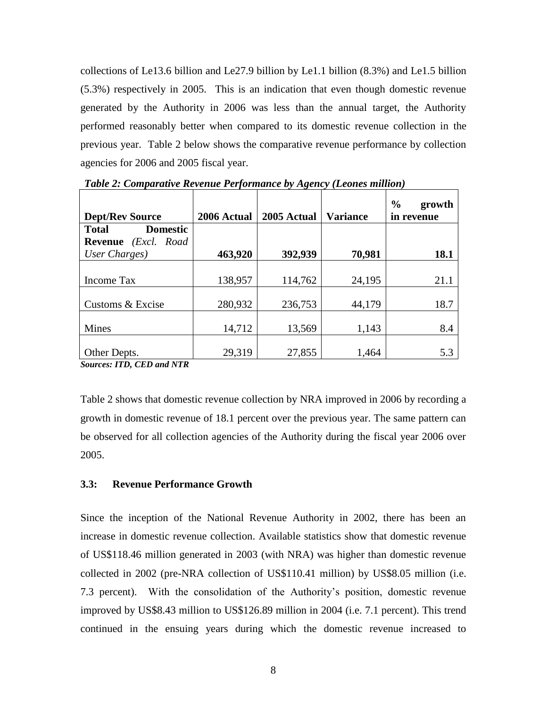collections of Le13.6 billion and Le27.9 billion by Le1.1 billion (8.3%) and Le1.5 billion (5.3%) respectively in 2005. This is an indication that even though domestic revenue generated by the Authority in 2006 was less than the annual target, the Authority performed reasonably better when compared to its domestic revenue collection in the previous year. Table 2 below shows the comparative revenue performance by collection agencies for 2006 and 2005 fiscal year.

| <b>Dept/Rev Source</b>               | 2006 Actual | 2005 Actual | <b>Variance</b> | $\frac{0}{0}$<br>growth<br>in revenue |
|--------------------------------------|-------------|-------------|-----------------|---------------------------------------|
| <b>Total</b><br><b>Domestic</b>      |             |             |                 |                                       |
| <b>Revenue</b> ( <i>Excl. Road</i> ) |             |             |                 |                                       |
| User Charges)                        | 463,920     | 392,939     | 70,981          | 18.1                                  |
|                                      |             |             |                 |                                       |
| <b>Income Tax</b>                    | 138,957     | 114,762     | 24,195          | 21.1                                  |
|                                      |             |             |                 |                                       |
| Customs & Excise                     | 280,932     | 236,753     | 44,179          | 18.7                                  |
| <b>Mines</b>                         | 14,712      | 13,569      | 1,143           | 8.4                                   |
| Other Depts.                         | 29,319      | 27,855      | 1,464           | 5.3                                   |

<span id="page-19-1"></span>*Table 2: Comparative Revenue Performance by Agency (Leones million)*

*Sources: ITD, CED and NTR*

Table 2 shows that domestic revenue collection by NRA improved in 2006 by recording a growth in domestic revenue of 18.1 percent over the previous year. The same pattern can be observed for all collection agencies of the Authority during the fiscal year 2006 over 2005.

#### <span id="page-19-0"></span>**3.3: Revenue Performance Growth**

Since the inception of the National Revenue Authority in 2002, there has been an increase in domestic revenue collection. Available statistics show that domestic revenue of US\$118.46 million generated in 2003 (with NRA) was higher than domestic revenue collected in 2002 (pre-NRA collection of US\$110.41 million) by US\$8.05 million (i.e. 7.3 percent). With the consolidation of the Authority's position, domestic revenue improved by US\$8.43 million to US\$126.89 million in 2004 (i.e. 7.1 percent). This trend continued in the ensuing years during which the domestic revenue increased to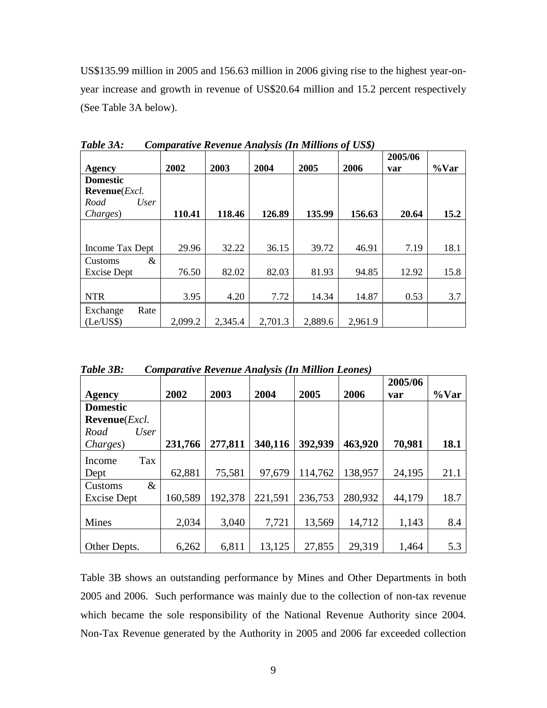US\$135.99 million in 2005 and 156.63 million in 2006 giving rise to the highest year-onyear increase and growth in revenue of US\$20.64 million and 15.2 percent respectively (See Table 3A below).

| Agency                        | 2002    | 2003    | 2004    | 2005    | $\cdot$<br>. .<br>2006 | 2005/06<br>var | $\%$ Var |
|-------------------------------|---------|---------|---------|---------|------------------------|----------------|----------|
| <b>Domestic</b>               |         |         |         |         |                        |                |          |
| Revenue( <i>Excl.</i>         |         |         |         |         |                        |                |          |
| Road<br>User                  |         |         |         |         |                        |                |          |
| Charges)                      | 110.41  | 118.46  | 126.89  | 135.99  | 156.63                 | 20.64          | 15.2     |
|                               |         |         |         |         |                        |                |          |
| Income Tax Dept               | 29.96   | 32.22   | 36.15   | 39.72   | 46.91                  | 7.19           | 18.1     |
| &<br>Customs                  |         |         |         |         |                        |                |          |
| Excise Dept                   | 76.50   | 82.02   | 82.03   | 81.93   | 94.85                  | 12.92          | 15.8     |
|                               |         |         |         |         |                        |                |          |
| <b>NTR</b>                    | 3.95    | 4.20    | 7.72    | 14.34   | 14.87                  | 0.53           | 3.7      |
| Rate<br>Exchange<br>(Le/US\$) | 2,099.2 | 2,345.4 | 2,701.3 | 2,889.6 | 2,961.9                |                |          |

<span id="page-20-0"></span>*Table 3A: Comparative Revenue Analysis (In Millions of US\$)*

<span id="page-20-1"></span>

|  | <b>Comparative Revenue Analysis (In Million Leones)</b> |
|--|---------------------------------------------------------|

|                               |         |         |         |         |         | 2005/06 |          |
|-------------------------------|---------|---------|---------|---------|---------|---------|----------|
| Agency                        | 2002    | 2003    | 2004    | 2005    | 2006    | var     | $\%$ Var |
| <b>Domestic</b>               |         |         |         |         |         |         |          |
| <b>Revenue</b> ( <i>Excl.</i> |         |         |         |         |         |         |          |
| User<br>Road                  |         |         |         |         |         |         |          |
| Charges)                      | 231,766 | 277,811 | 340,116 | 392,939 | 463,920 | 70,981  | 18.1     |
| <b>Tax</b><br>Income          |         |         |         |         |         |         |          |
| Dept                          | 62,881  | 75,581  | 97,679  | 114,762 | 138,957 | 24,195  | 21.1     |
| $\&$<br>Customs               |         |         |         |         |         |         |          |
| Excise Dept                   | 160,589 | 192,378 | 221,591 | 236,753 | 280,932 | 44,179  | 18.7     |
|                               |         |         |         |         |         |         |          |
| <b>Mines</b>                  | 2,034   | 3,040   | 7,721   | 13,569  | 14,712  | 1,143   | 8.4      |
|                               |         |         |         |         |         |         |          |
| Other Depts.                  | 6,262   | 6,811   | 13,125  | 27,855  | 29,319  | 1,464   | 5.3      |

Table 3B shows an outstanding performance by Mines and Other Departments in both 2005 and 2006. Such performance was mainly due to the collection of non-tax revenue which became the sole responsibility of the National Revenue Authority since 2004. Non-Tax Revenue generated by the Authority in 2005 and 2006 far exceeded collection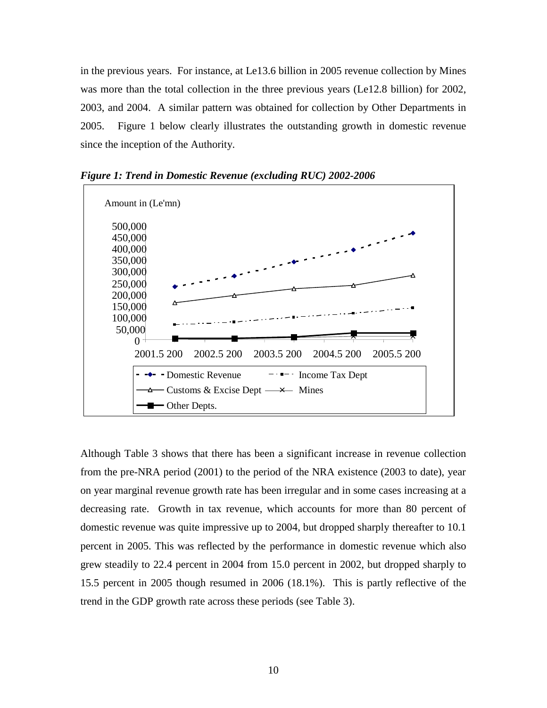in the previous years. For instance, at Le13.6 billion in 2005 revenue collection by Mines was more than the total collection in the three previous years (Le12.8 billion) for 2002, 2003, and 2004. A similar pattern was obtained for collection by Other Departments in 2005. Figure 1 below clearly illustrates the outstanding growth in domestic revenue since the inception of the Authority.



<span id="page-21-0"></span>*Figure 1: Trend in Domestic Revenue (excluding RUC) 2002-2006*

Although Table 3 shows that there has been a significant increase in revenue collection from the pre-NRA period (2001) to the period of the NRA existence (2003 to date), year on year marginal revenue growth rate has been irregular and in some cases increasing at a decreasing rate. Growth in tax revenue, which accounts for more than 80 percent of domestic revenue was quite impressive up to 2004, but dropped sharply thereafter to 10.1 percent in 2005. This was reflected by the performance in domestic revenue which also grew steadily to 22.4 percent in 2004 from 15.0 percent in 2002, but dropped sharply to 15.5 percent in 2005 though resumed in 2006 (18.1%). This is partly reflective of the trend in the GDP growth rate across these periods (see Table 3).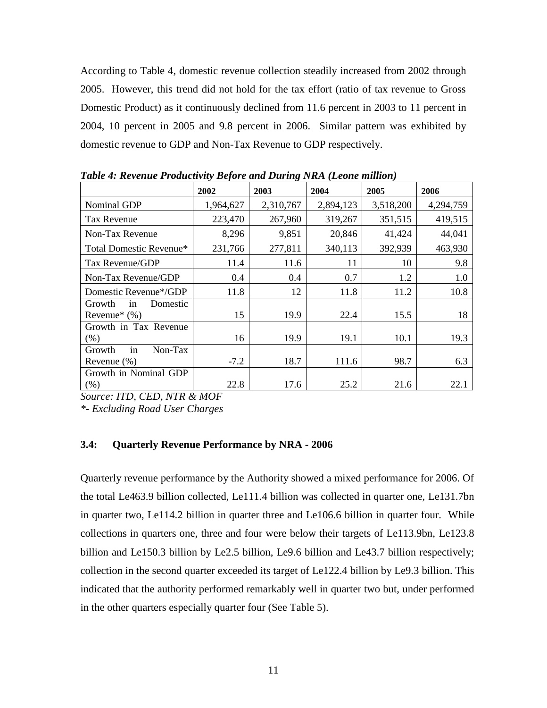According to Table 4, domestic revenue collection steadily increased from 2002 through 2005. However, this trend did not hold for the tax effort (ratio of tax revenue to Gross Domestic Product) as it continuously declined from 11.6 percent in 2003 to 11 percent in 2004, 10 percent in 2005 and 9.8 percent in 2006. Similar pattern was exhibited by domestic revenue to GDP and Non-Tax Revenue to GDP respectively.

|           |              |              |                           | 2006                                                                                             |
|-----------|--------------|--------------|---------------------------|--------------------------------------------------------------------------------------------------|
| 1,964,627 | 2,310,767    |              |                           | 4,294,759                                                                                        |
| 223,470   | 267,960      | 319,267      | 351,515                   | 419,515                                                                                          |
| 8,296     | 9,851        | 20,846       | 41,424                    | 44,041                                                                                           |
| 231,766   | 277,811      | 340,113      | 392,939                   | 463,930                                                                                          |
| 11.4      | 11.6         | 11           | 10                        | 9.8                                                                                              |
| 0.4       | 0.4          | 0.7          | 1.2                       | 1.0                                                                                              |
| 11.8      | 12           | 11.8         | 11.2                      | 10.8                                                                                             |
| 15        | 19.9         | 22.4         | 15.5                      | 18                                                                                               |
| 16        | 19.9         | 19.1         | 10.1                      | 19.3                                                                                             |
|           |              |              |                           |                                                                                                  |
| $-7.2$    | 18.7         | 111.6        | 98.7                      | 6.3                                                                                              |
|           |              |              |                           | 22.1                                                                                             |
|           | 2002<br>22.8 | 2003<br>17.6 | 2004<br>2,894,123<br>25.2 | Tubic 7. Referre I Founcilly Defore and During Tiret (Leone multon)<br>2005<br>3,518,200<br>21.6 |

<span id="page-22-1"></span>*Table 4: Revenue Productivity Before and During NRA (Leone million)*

*Source: ITD, CED, NTR & MOF*

*\*- Excluding Road User Charges*

## <span id="page-22-0"></span>**3.4: Quarterly Revenue Performance by NRA - 2006**

Quarterly revenue performance by the Authority showed a mixed performance for 2006. Of the total Le463.9 billion collected, Le111.4 billion was collected in quarter one, Le131.7bn in quarter two, Le114.2 billion in quarter three and Le106.6 billion in quarter four. While collections in quarters one, three and four were below their targets of Le113.9bn, Le123.8 billion and Le150.3 billion by Le2.5 billion, Le9.6 billion and Le43.7 billion respectively; collection in the second quarter exceeded its target of Le122.4 billion by Le9.3 billion. This indicated that the authority performed remarkably well in quarter two but, under performed in the other quarters especially quarter four (See Table 5).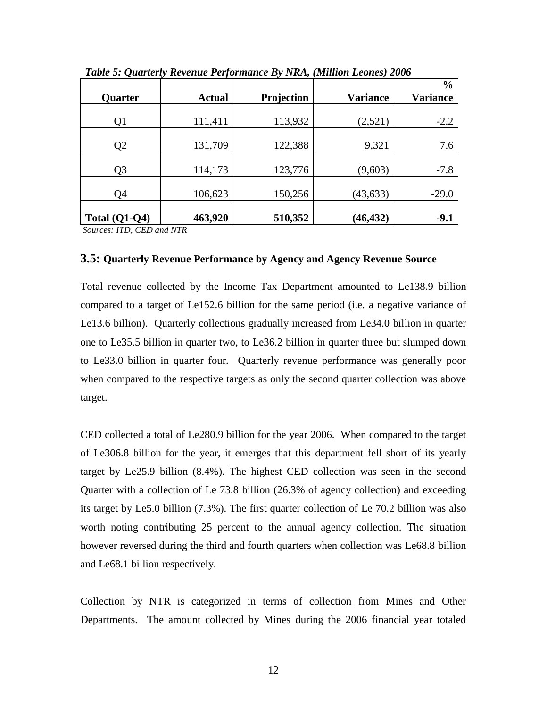| Quarter         | <b>Actual</b> | Projection | <b>Variance</b> | $\frac{0}{0}$<br><b>Variance</b> |
|-----------------|---------------|------------|-----------------|----------------------------------|
|                 |               |            |                 |                                  |
| Q1              | 111,411       | 113,932    | (2,521)         | $-2.2$                           |
| Q <sub>2</sub>  | 131,709       | 122,388    | 9,321           | 7.6                              |
| Q <sub>3</sub>  | 114,173       | 123,776    | (9,603)         | $-7.8$                           |
| Q4              | 106,623       | 150,256    | (43, 633)       | $-29.0$                          |
| Total $(Q1-Q4)$ | 463,920       | 510,352    | (46, 432)       | $-9.1$                           |

<span id="page-23-1"></span>*Table 5: Quarterly Revenue Performance By NRA, (Million Leones) 2006*

*Sources: ITD, CED and NTR*

#### <span id="page-23-0"></span>**3.5: Quarterly Revenue Performance by Agency and Agency Revenue Source**

Total revenue collected by the Income Tax Department amounted to Le138.9 billion compared to a target of Le152.6 billion for the same period (i.e. a negative variance of Le13.6 billion). Quarterly collections gradually increased from Le34.0 billion in quarter one to Le35.5 billion in quarter two, to Le36.2 billion in quarter three but slumped down to Le33.0 billion in quarter four. Quarterly revenue performance was generally poor when compared to the respective targets as only the second quarter collection was above target.

CED collected a total of Le280.9 billion for the year 2006. When compared to the target of Le306.8 billion for the year, it emerges that this department fell short of its yearly target by Le25.9 billion (8.4%). The highest CED collection was seen in the second Quarter with a collection of Le 73.8 billion (26.3% of agency collection) and exceeding its target by Le5.0 billion (7.3%). The first quarter collection of Le 70.2 billion was also worth noting contributing 25 percent to the annual agency collection. The situation however reversed during the third and fourth quarters when collection was Le68.8 billion and Le68.1 billion respectively.

Collection by NTR is categorized in terms of collection from Mines and Other Departments. The amount collected by Mines during the 2006 financial year totaled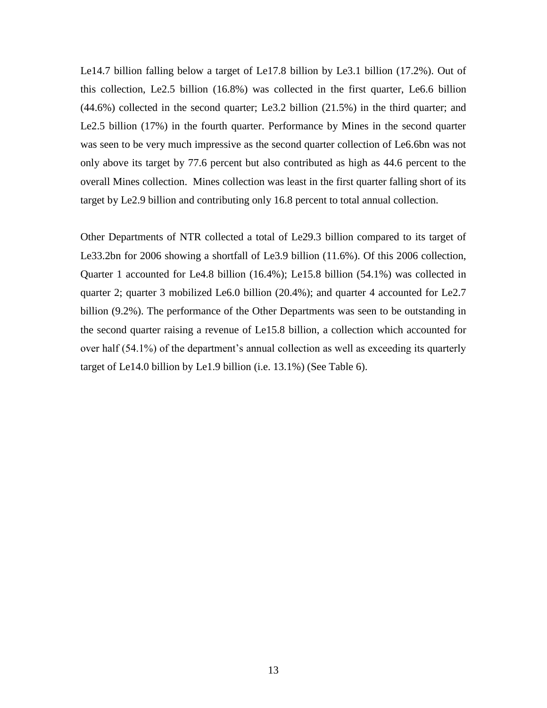Le14.7 billion falling below a target of Le17.8 billion by Le3.1 billion (17.2%). Out of this collection, Le2.5 billion (16.8%) was collected in the first quarter, Le6.6 billion (44.6%) collected in the second quarter; Le3.2 billion (21.5%) in the third quarter; and Le2.5 billion (17%) in the fourth quarter. Performance by Mines in the second quarter was seen to be very much impressive as the second quarter collection of Le6.6bn was not only above its target by 77.6 percent but also contributed as high as 44.6 percent to the overall Mines collection. Mines collection was least in the first quarter falling short of its target by Le2.9 billion and contributing only 16.8 percent to total annual collection.

Other Departments of NTR collected a total of Le29.3 billion compared to its target of Le33.2bn for 2006 showing a shortfall of Le3.9 billion (11.6%). Of this 2006 collection, Quarter 1 accounted for Le4.8 billion (16.4%); Le15.8 billion (54.1%) was collected in quarter 2; quarter 3 mobilized Le6.0 billion (20.4%); and quarter 4 accounted for Le2.7 billion (9.2%). The performance of the Other Departments was seen to be outstanding in the second quarter raising a revenue of Le15.8 billion, a collection which accounted for over half (54.1%) of the department's annual collection as well as exceeding its quarterly target of Le14.0 billion by Le1.9 billion (i.e. 13.1%) (See Table 6).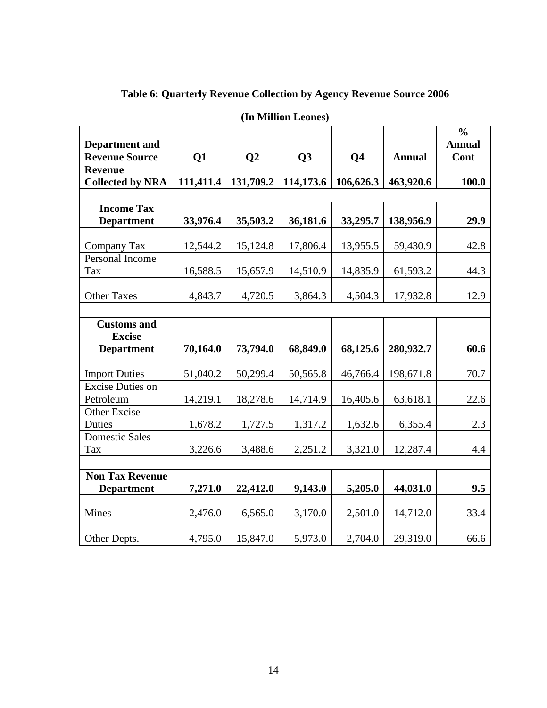<span id="page-25-0"></span>

| (In Million Leones)                            |           |                |           |                |               |                                        |  |  |  |
|------------------------------------------------|-----------|----------------|-----------|----------------|---------------|----------------------------------------|--|--|--|
| <b>Department</b> and<br><b>Revenue Source</b> | Q1        | Q <sub>2</sub> | Q3        | Q <sub>4</sub> | <b>Annual</b> | $\frac{0}{0}$<br><b>Annual</b><br>Cont |  |  |  |
| <b>Revenue</b>                                 |           |                |           |                |               |                                        |  |  |  |
| <b>Collected by NRA</b>                        | 111,411.4 | 131,709.2      | 114,173.6 | 106,626.3      | 463,920.6     | 100.0                                  |  |  |  |
|                                                |           |                |           |                |               |                                        |  |  |  |
| <b>Income Tax</b><br><b>Department</b>         | 33,976.4  | 35,503.2       | 36,181.6  | 33,295.7       | 138,956.9     | 29.9                                   |  |  |  |
|                                                |           |                |           |                |               |                                        |  |  |  |
| Company Tax                                    | 12,544.2  | 15,124.8       | 17,806.4  | 13,955.5       | 59,430.9      | 42.8                                   |  |  |  |
| Personal Income                                |           |                |           |                |               |                                        |  |  |  |
| Tax                                            | 16,588.5  | 15,657.9       | 14,510.9  | 14,835.9       | 61,593.2      | 44.3                                   |  |  |  |
|                                                |           |                |           |                |               |                                        |  |  |  |
| <b>Other Taxes</b>                             | 4,843.7   | 4,720.5        | 3,864.3   | 4,504.3        | 17,932.8      | 12.9                                   |  |  |  |
|                                                |           |                |           |                |               |                                        |  |  |  |
| <b>Customs and</b>                             |           |                |           |                |               |                                        |  |  |  |
| <b>Excise</b><br><b>Department</b>             | 70,164.0  | 73,794.0       | 68,849.0  | 68,125.6       | 280,932.7     | 60.6                                   |  |  |  |
|                                                |           |                |           |                |               |                                        |  |  |  |
| <b>Import Duties</b>                           | 51,040.2  | 50,299.4       | 50,565.8  | 46,766.4       | 198,671.8     | 70.7                                   |  |  |  |
| <b>Excise Duties on</b>                        |           |                |           |                |               |                                        |  |  |  |
| Petroleum                                      | 14,219.1  | 18,278.6       | 14,714.9  | 16,405.6       | 63,618.1      | 22.6                                   |  |  |  |
| Other Excise                                   |           |                |           |                |               |                                        |  |  |  |
| Duties                                         | 1,678.2   | 1,727.5        | 1,317.2   | 1,632.6        | 6,355.4       | 2.3                                    |  |  |  |
| <b>Domestic Sales</b>                          |           |                |           |                |               |                                        |  |  |  |
| Tax                                            | 3,226.6   | 3,488.6        | 2,251.2   | 3,321.0        | 12,287.4      | 4.4                                    |  |  |  |
| <b>Non Tax Revenue</b>                         |           |                |           |                |               |                                        |  |  |  |
| <b>Department</b>                              | 7,271.0   | 22,412.0       | 9,143.0   | 5,205.0        | 44,031.0      | 9.5                                    |  |  |  |
|                                                |           |                |           |                |               |                                        |  |  |  |
| Mines                                          | 2,476.0   | 6,565.0        | 3,170.0   | 2,501.0        | 14,712.0      | 33.4                                   |  |  |  |
|                                                |           |                |           |                |               |                                        |  |  |  |
| Other Depts.                                   | 4,795.0   | 15,847.0       | 5,973.0   | 2,704.0        | 29,319.0      | 66.6                                   |  |  |  |

# **Table 6: Quarterly Revenue Collection by Agency Revenue Source 2006**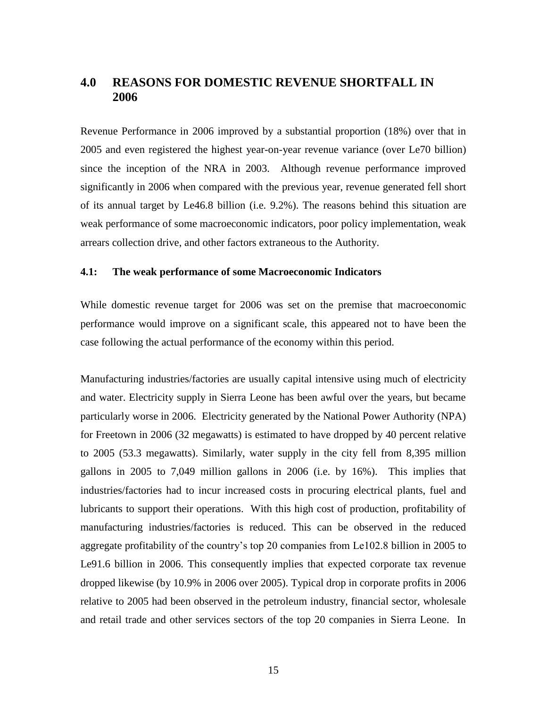## <span id="page-26-0"></span>**4.0 REASONS FOR DOMESTIC REVENUE SHORTFALL IN 2006**

Revenue Performance in 2006 improved by a substantial proportion (18%) over that in 2005 and even registered the highest year-on-year revenue variance (over Le70 billion) since the inception of the NRA in 2003. Although revenue performance improved significantly in 2006 when compared with the previous year, revenue generated fell short of its annual target by Le46.8 billion (i.e. 9.2%). The reasons behind this situation are weak performance of some macroeconomic indicators, poor policy implementation, weak arrears collection drive, and other factors extraneous to the Authority.

## <span id="page-26-1"></span>**4.1: The weak performance of some Macroeconomic Indicators**

While domestic revenue target for 2006 was set on the premise that macroeconomic performance would improve on a significant scale, this appeared not to have been the case following the actual performance of the economy within this period.

Manufacturing industries/factories are usually capital intensive using much of electricity and water. Electricity supply in Sierra Leone has been awful over the years, but became particularly worse in 2006. Electricity generated by the National Power Authority (NPA) for Freetown in 2006 (32 megawatts) is estimated to have dropped by 40 percent relative to 2005 (53.3 megawatts). Similarly, water supply in the city fell from 8,395 million gallons in 2005 to 7,049 million gallons in 2006 (i.e. by 16%). This implies that industries/factories had to incur increased costs in procuring electrical plants, fuel and lubricants to support their operations. With this high cost of production, profitability of manufacturing industries/factories is reduced. This can be observed in the reduced aggregate profitability of the country's top 20 companies from Le102.8 billion in 2005 to Le91.6 billion in 2006. This consequently implies that expected corporate tax revenue dropped likewise (by 10.9% in 2006 over 2005). Typical drop in corporate profits in 2006 relative to 2005 had been observed in the petroleum industry, financial sector, wholesale and retail trade and other services sectors of the top 20 companies in Sierra Leone. In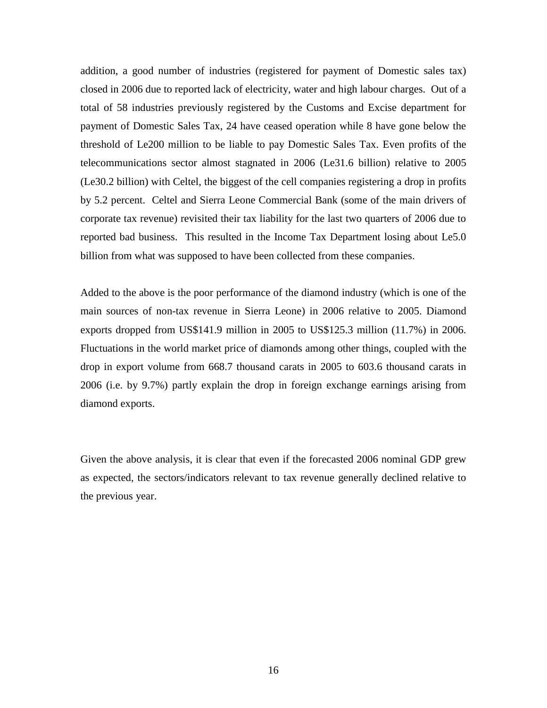addition, a good number of industries (registered for payment of Domestic sales tax) closed in 2006 due to reported lack of electricity, water and high labour charges. Out of a total of 58 industries previously registered by the Customs and Excise department for payment of Domestic Sales Tax, 24 have ceased operation while 8 have gone below the threshold of Le200 million to be liable to pay Domestic Sales Tax. Even profits of the telecommunications sector almost stagnated in 2006 (Le31.6 billion) relative to 2005 (Le30.2 billion) with Celtel, the biggest of the cell companies registering a drop in profits by 5.2 percent. Celtel and Sierra Leone Commercial Bank (some of the main drivers of corporate tax revenue) revisited their tax liability for the last two quarters of 2006 due to reported bad business. This resulted in the Income Tax Department losing about Le5.0 billion from what was supposed to have been collected from these companies.

Added to the above is the poor performance of the diamond industry (which is one of the main sources of non-tax revenue in Sierra Leone) in 2006 relative to 2005. Diamond exports dropped from US\$141.9 million in 2005 to US\$125.3 million (11.7%) in 2006. Fluctuations in the world market price of diamonds among other things, coupled with the drop in export volume from 668.7 thousand carats in 2005 to 603.6 thousand carats in 2006 (i.e. by 9.7%) partly explain the drop in foreign exchange earnings arising from diamond exports.

Given the above analysis, it is clear that even if the forecasted 2006 nominal GDP grew as expected, the sectors/indicators relevant to tax revenue generally declined relative to the previous year.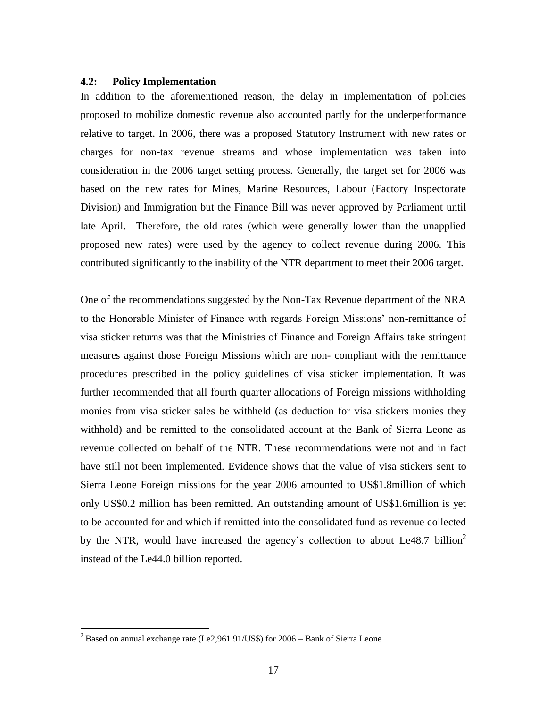#### <span id="page-28-0"></span>**4.2: Policy Implementation**

In addition to the aforementioned reason, the delay in implementation of policies proposed to mobilize domestic revenue also accounted partly for the underperformance relative to target. In 2006, there was a proposed Statutory Instrument with new rates or charges for non-tax revenue streams and whose implementation was taken into consideration in the 2006 target setting process. Generally, the target set for 2006 was based on the new rates for Mines, Marine Resources, Labour (Factory Inspectorate Division) and Immigration but the Finance Bill was never approved by Parliament until late April. Therefore, the old rates (which were generally lower than the unapplied proposed new rates) were used by the agency to collect revenue during 2006. This contributed significantly to the inability of the NTR department to meet their 2006 target.

One of the recommendations suggested by the Non-Tax Revenue department of the NRA to the Honorable Minister of Finance with regards Foreign Missions' non-remittance of visa sticker returns was that the Ministries of Finance and Foreign Affairs take stringent measures against those Foreign Missions which are non- compliant with the remittance procedures prescribed in the policy guidelines of visa sticker implementation. It was further recommended that all fourth quarter allocations of Foreign missions withholding monies from visa sticker sales be withheld (as deduction for visa stickers monies they withhold) and be remitted to the consolidated account at the Bank of Sierra Leone as revenue collected on behalf of the NTR. These recommendations were not and in fact have still not been implemented. Evidence shows that the value of visa stickers sent to Sierra Leone Foreign missions for the year 2006 amounted to US\$1.8million of which only US\$0.2 million has been remitted. An outstanding amount of US\$1.6million is yet to be accounted for and which if remitted into the consolidated fund as revenue collected by the NTR, would have increased the agency's collection to about Le48.7 billion<sup>2</sup> instead of the Le44.0 billion reported.

 $\overline{a}$ 

<sup>&</sup>lt;sup>2</sup> Based on annual exchange rate (Le2,961.91/US\$) for 2006 – Bank of Sierra Leone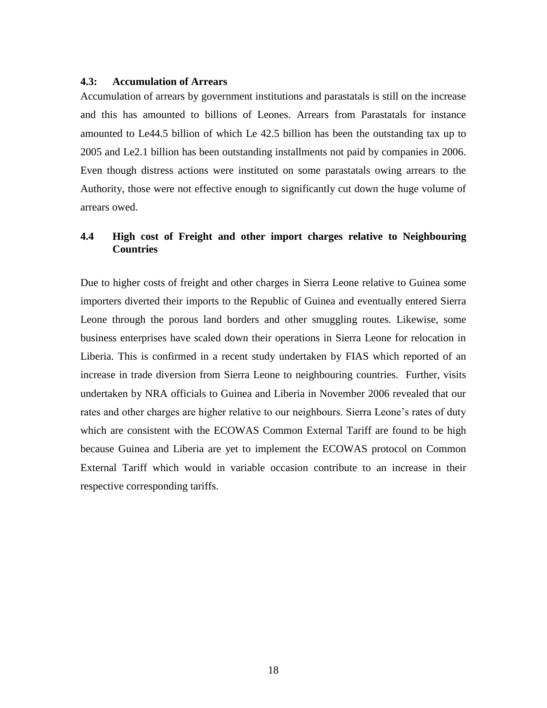### <span id="page-29-0"></span>**4.3: Accumulation of Arrears**

Accumulation of arrears by government institutions and parastatals is still on the increase and this has amounted to billions of Leones. Arrears from Parastatals for instance amounted to Le44.5 billion of which Le 42.5 billion has been the outstanding tax up to 2005 and Le2.1 billion has been outstanding installments not paid by companies in 2006. Even though distress actions were instituted on some parastatals owing arrears to the Authority, those were not effective enough to significantly cut down the huge volume of arrears owed.

## <span id="page-29-1"></span>**4.4 High cost of Freight and other import charges relative to Neighbouring Countries**

Due to higher costs of freight and other charges in Sierra Leone relative to Guinea some importers diverted their imports to the Republic of Guinea and eventually entered Sierra Leone through the porous land borders and other smuggling routes. Likewise, some business enterprises have scaled down their operations in Sierra Leone for relocation in Liberia. This is confirmed in a recent study undertaken by FIAS which reported of an increase in trade diversion from Sierra Leone to neighbouring countries. Further, visits undertaken by NRA officials to Guinea and Liberia in November 2006 revealed that our rates and other charges are higher relative to our neighbours. Sierra Leone's rates of duty which are consistent with the ECOWAS Common External Tariff are found to be high because Guinea and Liberia are yet to implement the ECOWAS protocol on Common External Tariff which would in variable occasion contribute to an increase in their respective corresponding tariffs.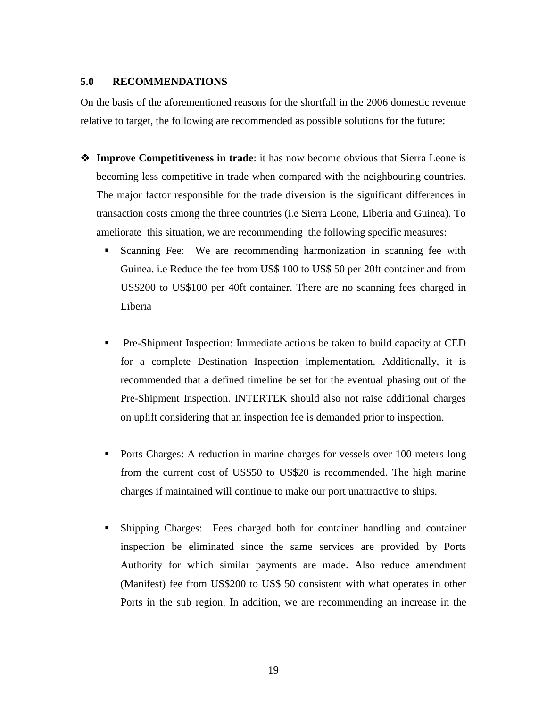## <span id="page-30-0"></span>**5.0 RECOMMENDATIONS**

On the basis of the aforementioned reasons for the shortfall in the 2006 domestic revenue relative to target, the following are recommended as possible solutions for the future:

- **Improve Competitiveness in trade**: it has now become obvious that Sierra Leone is becoming less competitive in trade when compared with the neighbouring countries. The major factor responsible for the trade diversion is the significant differences in transaction costs among the three countries (i.e Sierra Leone, Liberia and Guinea). To ameliorate this situation, we are recommending the following specific measures:
	- Scanning Fee: We are recommending harmonization in scanning fee with Guinea. i.e Reduce the fee from US\$ 100 to US\$ 50 per 20ft container and from US\$200 to US\$100 per 40ft container. There are no scanning fees charged in Liberia
	- Pre-Shipment Inspection: Immediate actions be taken to build capacity at CED for a complete Destination Inspection implementation. Additionally, it is recommended that a defined timeline be set for the eventual phasing out of the Pre-Shipment Inspection. INTERTEK should also not raise additional charges on uplift considering that an inspection fee is demanded prior to inspection.
	- Ports Charges: A reduction in marine charges for vessels over 100 meters long from the current cost of US\$50 to US\$20 is recommended. The high marine charges if maintained will continue to make our port unattractive to ships.
	- Shipping Charges: Fees charged both for container handling and container inspection be eliminated since the same services are provided by Ports Authority for which similar payments are made. Also reduce amendment (Manifest) fee from US\$200 to US\$ 50 consistent with what operates in other Ports in the sub region. In addition, we are recommending an increase in the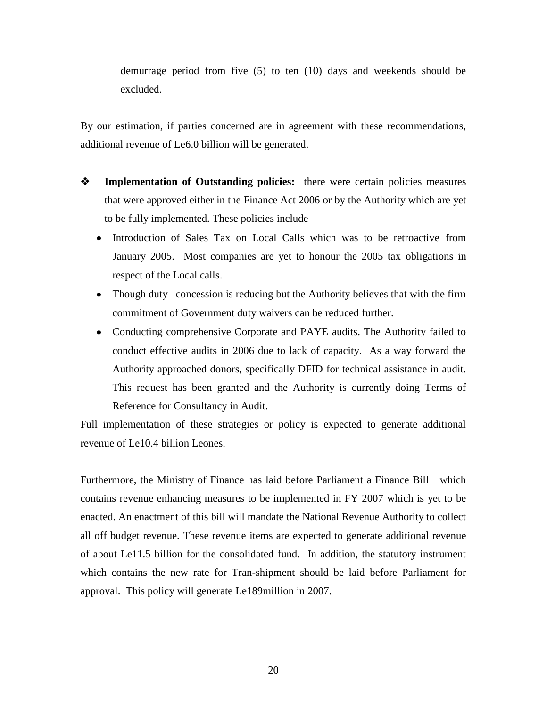demurrage period from five (5) to ten (10) days and weekends should be excluded.

By our estimation, if parties concerned are in agreement with these recommendations, additional revenue of Le6.0 billion will be generated.

- **Implementation of Outstanding policies:** there were certain policies measures that were approved either in the Finance Act 2006 or by the Authority which are yet to be fully implemented. These policies include
	- Introduction of Sales Tax on Local Calls which was to be retroactive from January 2005. Most companies are yet to honour the 2005 tax obligations in respect of the Local calls.
	- Though duty –concession is reducing but the Authority believes that with the firm commitment of Government duty waivers can be reduced further.
	- Conducting comprehensive Corporate and PAYE audits. The Authority failed to conduct effective audits in 2006 due to lack of capacity. As a way forward the Authority approached donors, specifically DFID for technical assistance in audit. This request has been granted and the Authority is currently doing Terms of Reference for Consultancy in Audit.

Full implementation of these strategies or policy is expected to generate additional revenue of Le10.4 billion Leones.

Furthermore, the Ministry of Finance has laid before Parliament a Finance Bill which contains revenue enhancing measures to be implemented in FY 2007 which is yet to be enacted. An enactment of this bill will mandate the National Revenue Authority to collect all off budget revenue. These revenue items are expected to generate additional revenue of about Le11.5 billion for the consolidated fund. In addition, the statutory instrument which contains the new rate for Tran-shipment should be laid before Parliament for approval. This policy will generate Le189million in 2007.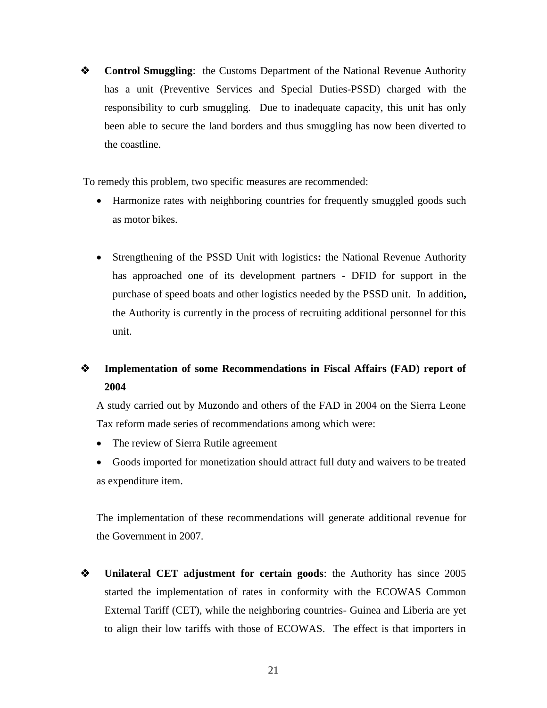**❖** Control Smuggling: the Customs Department of the National Revenue Authority has a unit (Preventive Services and Special Duties-PSSD) charged with the responsibility to curb smuggling. Due to inadequate capacity, this unit has only been able to secure the land borders and thus smuggling has now been diverted to the coastline.

To remedy this problem, two specific measures are recommended:

- Harmonize rates with neighboring countries for frequently smuggled goods such as motor bikes.
- Strengthening of the PSSD Unit with logistics**:** the National Revenue Authority has approached one of its development partners - DFID for support in the purchase of speed boats and other logistics needed by the PSSD unit. In addition**,**  the Authority is currently in the process of recruiting additional personnel for this unit.

# **Implementation of some Recommendations in Fiscal Affairs (FAD) report of 2004**

A study carried out by Muzondo and others of the FAD in 2004 on the Sierra Leone Tax reform made series of recommendations among which were:

- The review of Sierra Rutile agreement
- Goods imported for monetization should attract full duty and waivers to be treated as expenditure item.

The implementation of these recommendations will generate additional revenue for the Government in 2007.

 **Unilateral CET adjustment for certain goods**: the Authority has since 2005 started the implementation of rates in conformity with the ECOWAS Common External Tariff (CET), while the neighboring countries- Guinea and Liberia are yet to align their low tariffs with those of ECOWAS. The effect is that importers in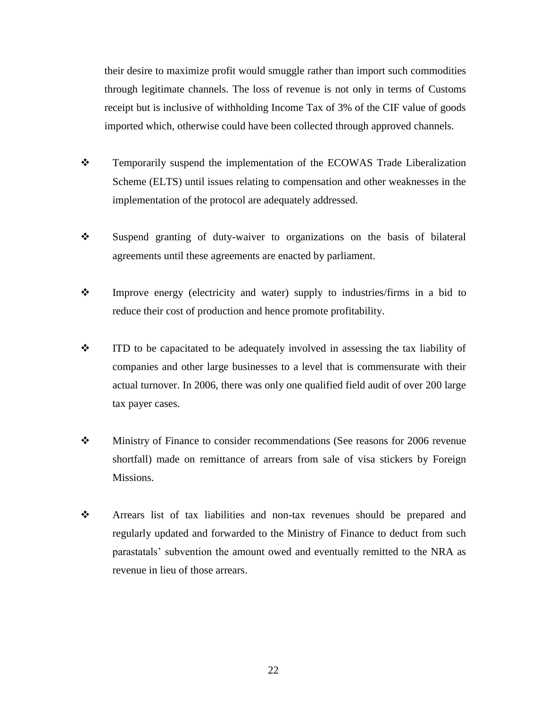their desire to maximize profit would smuggle rather than import such commodities through legitimate channels. The loss of revenue is not only in terms of Customs receipt but is inclusive of withholding Income Tax of 3% of the CIF value of goods imported which, otherwise could have been collected through approved channels.

- \* Temporarily suspend the implementation of the ECOWAS Trade Liberalization Scheme (ELTS) until issues relating to compensation and other weaknesses in the implementation of the protocol are adequately addressed.
- Suspend granting of duty-waiver to organizations on the basis of bilateral agreements until these agreements are enacted by parliament.
- Improve energy (electricity and water) supply to industries/firms in a bid to reduce their cost of production and hence promote profitability.
- ITD to be capacitated to be adequately involved in assessing the tax liability of companies and other large businesses to a level that is commensurate with their actual turnover. In 2006, there was only one qualified field audit of over 200 large tax payer cases.
- Ministry of Finance to consider recommendations (See reasons for 2006 revenue shortfall) made on remittance of arrears from sale of visa stickers by Foreign Missions.
- Arrears list of tax liabilities and non-tax revenues should be prepared and regularly updated and forwarded to the Ministry of Finance to deduct from such parastatals' subvention the amount owed and eventually remitted to the NRA as revenue in lieu of those arrears.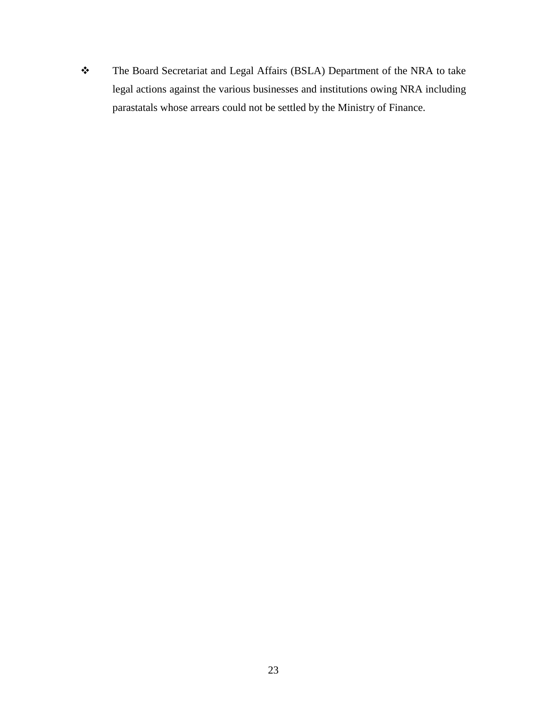The Board Secretariat and Legal Affairs (BSLA) Department of the NRA to take legal actions against the various businesses and institutions owing NRA including parastatals whose arrears could not be settled by the Ministry of Finance.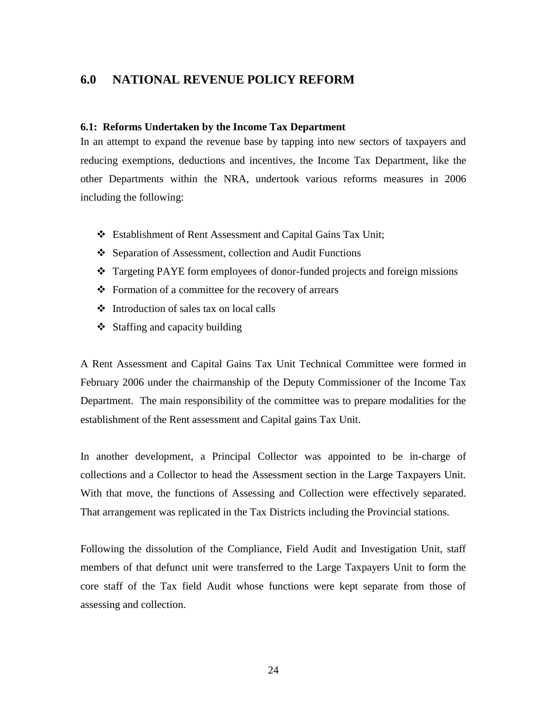## <span id="page-35-0"></span>**6.0 NATIONAL REVENUE POLICY REFORM**

#### <span id="page-35-1"></span>**6.1: Reforms Undertaken by the Income Tax Department**

In an attempt to expand the revenue base by tapping into new sectors of taxpayers and reducing exemptions, deductions and incentives, the Income Tax Department, like the other Departments within the NRA, undertook various reforms measures in 2006 including the following:

- Establishment of Rent Assessment and Capital Gains Tax Unit;
- ❖ Separation of Assessment, collection and Audit Functions
- Targeting PAYE form employees of donor-funded projects and foreign missions
- $\triangle$  Formation of a committee for the recovery of arrears
- $\div$  Introduction of sales tax on local calls
- $\triangleleft$  Staffing and capacity building

A Rent Assessment and Capital Gains Tax Unit Technical Committee were formed in February 2006 under the chairmanship of the Deputy Commissioner of the Income Tax Department. The main responsibility of the committee was to prepare modalities for the establishment of the Rent assessment and Capital gains Tax Unit.

In another development, a Principal Collector was appointed to be in-charge of collections and a Collector to head the Assessment section in the Large Taxpayers Unit. With that move, the functions of Assessing and Collection were effectively separated. That arrangement was replicated in the Tax Districts including the Provincial stations.

Following the dissolution of the Compliance, Field Audit and Investigation Unit, staff members of that defunct unit were transferred to the Large Taxpayers Unit to form the core staff of the Tax field Audit whose functions were kept separate from those of assessing and collection.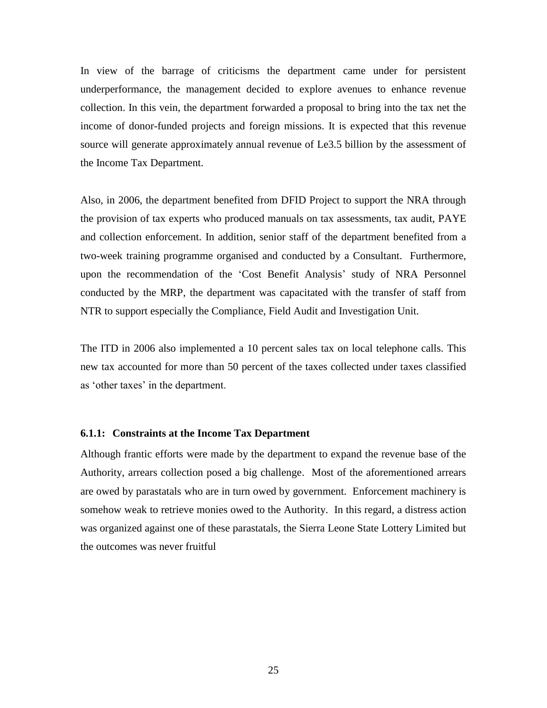In view of the barrage of criticisms the department came under for persistent underperformance, the management decided to explore avenues to enhance revenue collection. In this vein, the department forwarded a proposal to bring into the tax net the income of donor-funded projects and foreign missions. It is expected that this revenue source will generate approximately annual revenue of Le3.5 billion by the assessment of the Income Tax Department.

Also, in 2006, the department benefited from DFID Project to support the NRA through the provision of tax experts who produced manuals on tax assessments, tax audit, PAYE and collection enforcement. In addition, senior staff of the department benefited from a two-week training programme organised and conducted by a Consultant. Furthermore, upon the recommendation of the 'Cost Benefit Analysis' study of NRA Personnel conducted by the MRP, the department was capacitated with the transfer of staff from NTR to support especially the Compliance, Field Audit and Investigation Unit.

The ITD in 2006 also implemented a 10 percent sales tax on local telephone calls. This new tax accounted for more than 50 percent of the taxes collected under taxes classified as 'other taxes' in the department.

#### <span id="page-36-0"></span>**6.1.1: Constraints at the Income Tax Department**

Although frantic efforts were made by the department to expand the revenue base of the Authority, arrears collection posed a big challenge. Most of the aforementioned arrears are owed by parastatals who are in turn owed by government. Enforcement machinery is somehow weak to retrieve monies owed to the Authority. In this regard, a distress action was organized against one of these parastatals, the Sierra Leone State Lottery Limited but the outcomes was never fruitful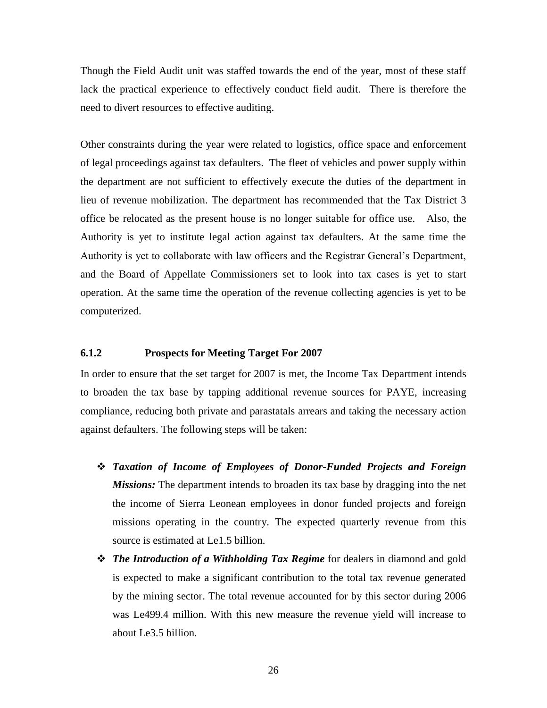Though the Field Audit unit was staffed towards the end of the year, most of these staff lack the practical experience to effectively conduct field audit. There is therefore the need to divert resources to effective auditing.

Other constraints during the year were related to logistics, office space and enforcement of legal proceedings against tax defaulters. The fleet of vehicles and power supply within the department are not sufficient to effectively execute the duties of the department in lieu of revenue mobilization. The department has recommended that the Tax District 3 office be relocated as the present house is no longer suitable for office use. Also, the Authority is yet to institute legal action against tax defaulters. At the same time the Authority is yet to collaborate with law officers and the Registrar General's Department, and the Board of Appellate Commissioners set to look into tax cases is yet to start operation. At the same time the operation of the revenue collecting agencies is yet to be computerized.

#### <span id="page-37-0"></span>**6.1.2 Prospects for Meeting Target For 2007**

In order to ensure that the set target for 2007 is met, the Income Tax Department intends to broaden the tax base by tapping additional revenue sources for PAYE, increasing compliance, reducing both private and parastatals arrears and taking the necessary action against defaulters. The following steps will be taken:

- *Taxation of Income of Employees of Donor-Funded Projects and Foreign Missions:* The department intends to broaden its tax base by dragging into the net the income of Sierra Leonean employees in donor funded projects and foreign missions operating in the country. The expected quarterly revenue from this source is estimated at Le1.5 billion.
- *The Introduction of a Withholding Tax Regime* for dealers in diamond and gold is expected to make a significant contribution to the total tax revenue generated by the mining sector. The total revenue accounted for by this sector during 2006 was Le499.4 million. With this new measure the revenue yield will increase to about Le3.5 billion.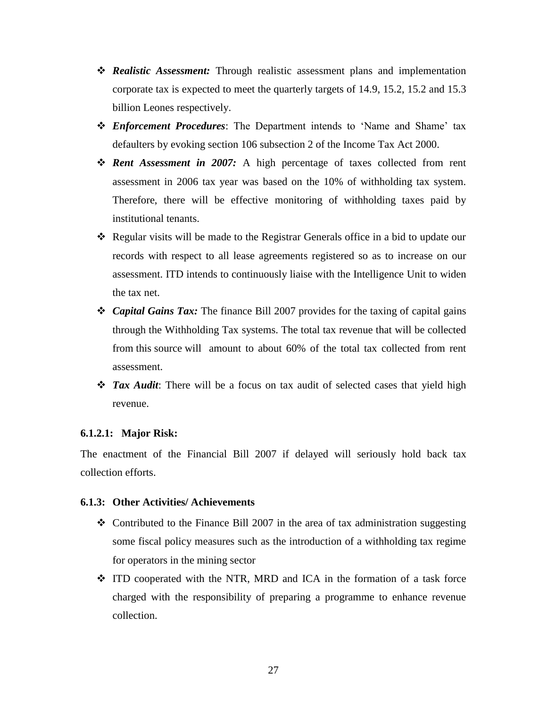- *Realistic Assessment:* Through realistic assessment plans and implementation corporate tax is expected to meet the quarterly targets of 14.9, 15.2, 15.2 and 15.3 billion Leones respectively.
- *Enforcement Procedures*: The Department intends to 'Name and Shame' tax defaulters by evoking section 106 subsection 2 of the Income Tax Act 2000.
- *Rent Assessment in 2007:* A high percentage of taxes collected from rent assessment in 2006 tax year was based on the 10% of withholding tax system. Therefore, there will be effective monitoring of withholding taxes paid by institutional tenants.
- Regular visits will be made to the Registrar Generals office in a bid to update our records with respect to all lease agreements registered so as to increase on our assessment. ITD intends to continuously liaise with the Intelligence Unit to widen the tax net.
- *Capital Gains Tax:* The finance Bill 2007 provides for the taxing of capital gains through the Withholding Tax systems. The total tax revenue that will be collected from this source will amount to about 60% of the total tax collected from rent assessment.
- *Tax Audit:* There will be a focus on tax audit of selected cases that yield high revenue.

#### <span id="page-38-0"></span>**6.1.2.1: Major Risk:**

The enactment of the Financial Bill 2007 if delayed will seriously hold back tax collection efforts.

## <span id="page-38-1"></span>**6.1.3: Other Activities/ Achievements**

- $\triangle$  Contributed to the Finance Bill 2007 in the area of tax administration suggesting some fiscal policy measures such as the introduction of a withholding tax regime for operators in the mining sector
- $\div$  ITD cooperated with the NTR, MRD and ICA in the formation of a task force charged with the responsibility of preparing a programme to enhance revenue collection.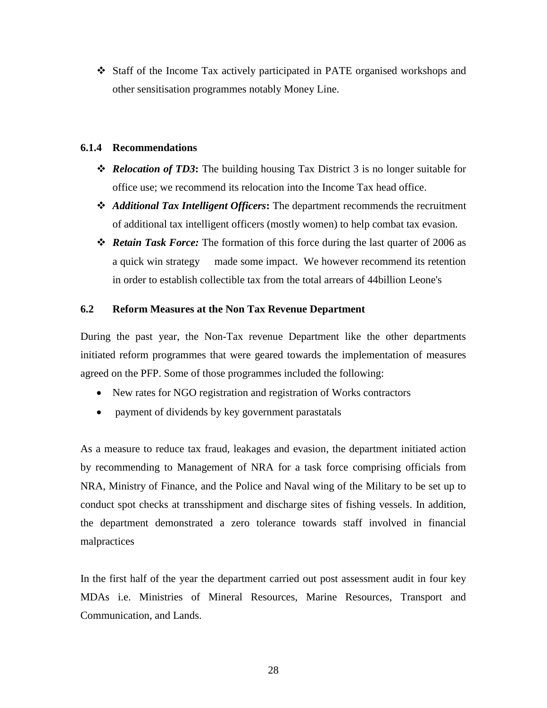Staff of the Income Tax actively participated in PATE organised workshops and other sensitisation programmes notably Money Line.

### <span id="page-39-0"></span>**6.1.4 Recommendations**

- *Relocation of TD3***:** The building housing Tax District 3 is no longer suitable for office use; we recommend its relocation into the Income Tax head office.
- *Additional Tax Intelligent Officers***:** The department recommends the recruitment of additional tax intelligent officers (mostly women) to help combat tax evasion.
- *Retain Task Force:* The formation of this force during the last quarter of 2006 as a quick win strategy made some impact. We however recommend its retention in order to establish collectible tax from the total arrears of 44billion Leone's

## <span id="page-39-1"></span>**6.2 Reform Measures at the Non Tax Revenue Department**

During the past year, the Non-Tax revenue Department like the other departments initiated reform programmes that were geared towards the implementation of measures agreed on the PFP. Some of those programmes included the following:

- New rates for NGO registration and registration of Works contractors
- payment of dividends by key government parastatals

As a measure to reduce tax fraud, leakages and evasion, the department initiated action by recommending to Management of NRA for a task force comprising officials from NRA, Ministry of Finance, and the Police and Naval wing of the Military to be set up to conduct spot checks at transshipment and discharge sites of fishing vessels. In addition, the department demonstrated a zero tolerance towards staff involved in financial malpractices

In the first half of the year the department carried out post assessment audit in four key MDAs i.e. Ministries of Mineral Resources, Marine Resources, Transport and Communication, and Lands.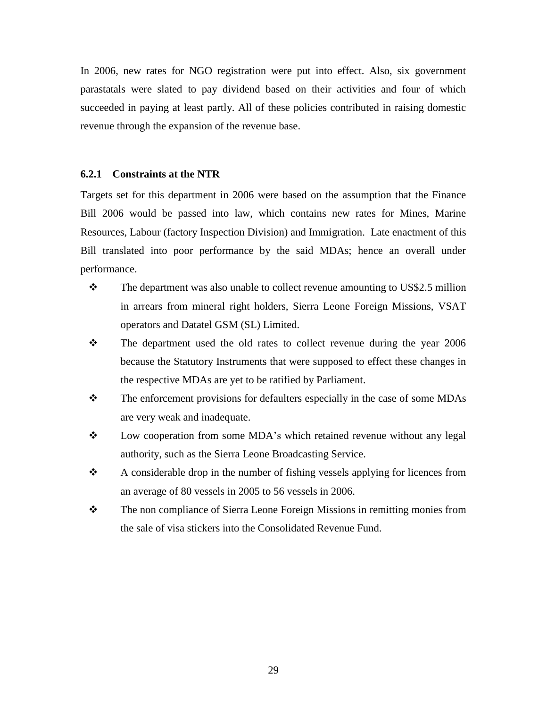In 2006, new rates for NGO registration were put into effect. Also, six government parastatals were slated to pay dividend based on their activities and four of which succeeded in paying at least partly. All of these policies contributed in raising domestic revenue through the expansion of the revenue base.

#### <span id="page-40-0"></span>**6.2.1 Constraints at the NTR**

Targets set for this department in 2006 were based on the assumption that the Finance Bill 2006 would be passed into law, which contains new rates for Mines, Marine Resources, Labour (factory Inspection Division) and Immigration. Late enactment of this Bill translated into poor performance by the said MDAs; hence an overall under performance.

- \* The department was also unable to collect revenue amounting to US\$2.5 million in arrears from mineral right holders, Sierra Leone Foreign Missions, VSAT operators and Datatel GSM (SL) Limited.
- \* The department used the old rates to collect revenue during the year 2006 because the Statutory Instruments that were supposed to effect these changes in the respective MDAs are yet to be ratified by Parliament.
- $\mathbf{\hat{P}}$  The enforcement provisions for defaulters especially in the case of some MDAs are very weak and inadequate.
- \* Low cooperation from some MDA's which retained revenue without any legal authority, such as the Sierra Leone Broadcasting Service.
- A considerable drop in the number of fishing vessels applying for licences from an average of 80 vessels in 2005 to 56 vessels in 2006.
- The non compliance of Sierra Leone Foreign Missions in remitting monies from the sale of visa stickers into the Consolidated Revenue Fund.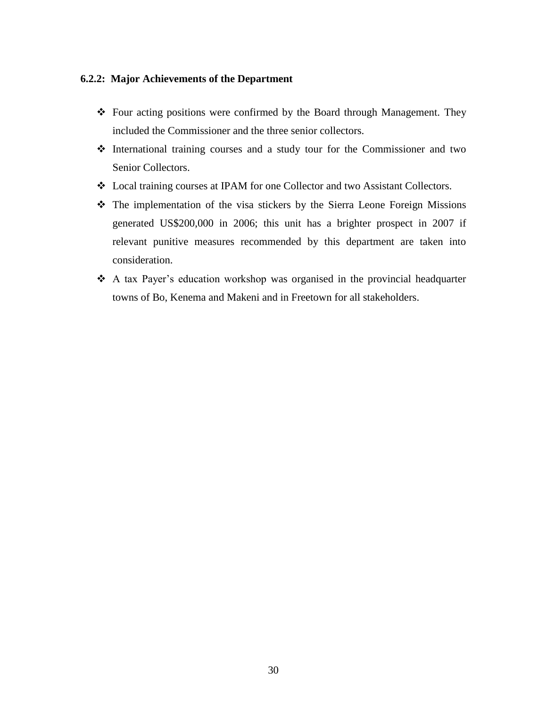### <span id="page-41-0"></span>**6.2.2: Major Achievements of the Department**

- Four acting positions were confirmed by the Board through Management. They included the Commissioner and the three senior collectors.
- International training courses and a study tour for the Commissioner and two Senior Collectors.
- Local training courses at IPAM for one Collector and two Assistant Collectors.
- The implementation of the visa stickers by the Sierra Leone Foreign Missions generated US\$200,000 in 2006; this unit has a brighter prospect in 2007 if relevant punitive measures recommended by this department are taken into consideration.
- A tax Payer's education workshop was organised in the provincial headquarter towns of Bo, Kenema and Makeni and in Freetown for all stakeholders.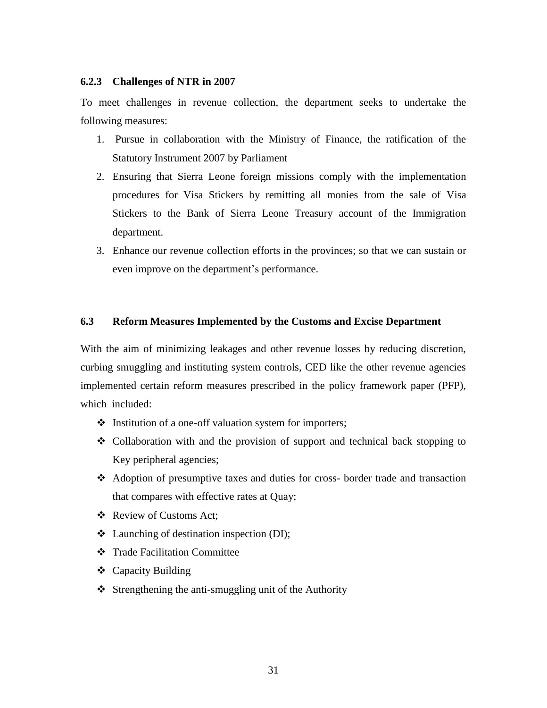### <span id="page-42-0"></span>**6.2.3 Challenges of NTR in 2007**

To meet challenges in revenue collection, the department seeks to undertake the following measures:

- 1. Pursue in collaboration with the Ministry of Finance, the ratification of the Statutory Instrument 2007 by Parliament
- 2. Ensuring that Sierra Leone foreign missions comply with the implementation procedures for Visa Stickers by remitting all monies from the sale of Visa Stickers to the Bank of Sierra Leone Treasury account of the Immigration department.
- 3. Enhance our revenue collection efforts in the provinces; so that we can sustain or even improve on the department's performance.

### <span id="page-42-1"></span>**6.3 Reform Measures Implemented by the Customs and Excise Department**

With the aim of minimizing leakages and other revenue losses by reducing discretion, curbing smuggling and instituting system controls, CED like the other revenue agencies implemented certain reform measures prescribed in the policy framework paper (PFP), which included:

- $\triangleleft$  Institution of a one-off valuation system for importers;
- $\div$  Collaboration with and the provision of support and technical back stopping to Key peripheral agencies;
- Adoption of presumptive taxes and duties for cross- border trade and transaction that compares with effective rates at Quay;
- ❖ Review of Customs Act;
- Launching of destination inspection (DI);
- Trade Facilitation Committee
- ❖ Capacity Building
- $\triangle$  Strengthening the anti-smuggling unit of the Authority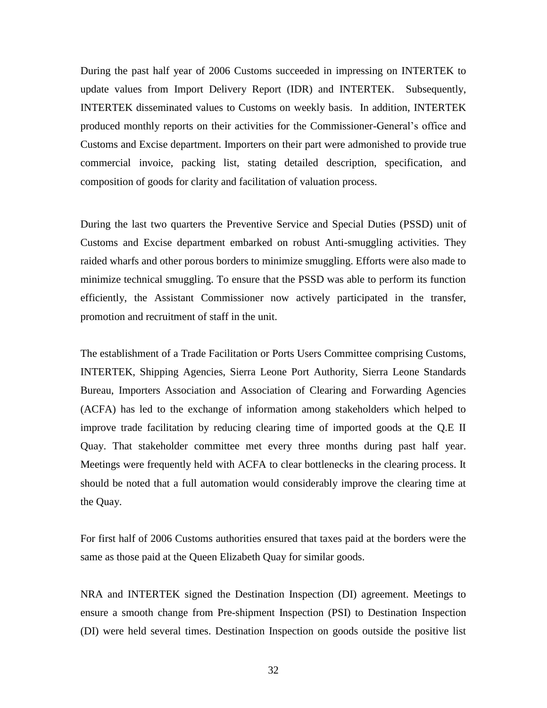During the past half year of 2006 Customs succeeded in impressing on INTERTEK to update values from Import Delivery Report (IDR) and INTERTEK. Subsequently, INTERTEK disseminated values to Customs on weekly basis. In addition, INTERTEK produced monthly reports on their activities for the Commissioner-General's office and Customs and Excise department. Importers on their part were admonished to provide true commercial invoice, packing list, stating detailed description, specification, and composition of goods for clarity and facilitation of valuation process.

During the last two quarters the Preventive Service and Special Duties (PSSD) unit of Customs and Excise department embarked on robust Anti-smuggling activities. They raided wharfs and other porous borders to minimize smuggling. Efforts were also made to minimize technical smuggling. To ensure that the PSSD was able to perform its function efficiently, the Assistant Commissioner now actively participated in the transfer, promotion and recruitment of staff in the unit.

The establishment of a Trade Facilitation or Ports Users Committee comprising Customs, INTERTEK, Shipping Agencies, Sierra Leone Port Authority, Sierra Leone Standards Bureau, Importers Association and Association of Clearing and Forwarding Agencies (ACFA) has led to the exchange of information among stakeholders which helped to improve trade facilitation by reducing clearing time of imported goods at the Q.E II Quay. That stakeholder committee met every three months during past half year. Meetings were frequently held with ACFA to clear bottlenecks in the clearing process. It should be noted that a full automation would considerably improve the clearing time at the Quay.

For first half of 2006 Customs authorities ensured that taxes paid at the borders were the same as those paid at the Queen Elizabeth Quay for similar goods.

NRA and INTERTEK signed the Destination Inspection (DI) agreement. Meetings to ensure a smooth change from Pre-shipment Inspection (PSI) to Destination Inspection (DI) were held several times. Destination Inspection on goods outside the positive list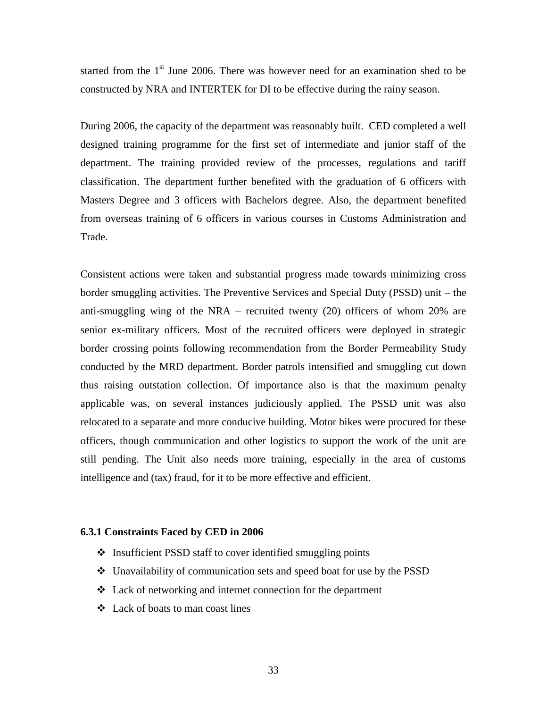started from the  $1<sup>st</sup>$  June 2006. There was however need for an examination shed to be constructed by NRA and INTERTEK for DI to be effective during the rainy season.

During 2006, the capacity of the department was reasonably built. CED completed a well designed training programme for the first set of intermediate and junior staff of the department. The training provided review of the processes, regulations and tariff classification. The department further benefited with the graduation of 6 officers with Masters Degree and 3 officers with Bachelors degree. Also, the department benefited from overseas training of 6 officers in various courses in Customs Administration and Trade.

Consistent actions were taken and substantial progress made towards minimizing cross border smuggling activities. The Preventive Services and Special Duty (PSSD) unit – the anti-smuggling wing of the NRA – recruited twenty (20) officers of whom 20% are senior ex-military officers. Most of the recruited officers were deployed in strategic border crossing points following recommendation from the Border Permeability Study conducted by the MRD department. Border patrols intensified and smuggling cut down thus raising outstation collection. Of importance also is that the maximum penalty applicable was, on several instances judiciously applied. The PSSD unit was also relocated to a separate and more conducive building. Motor bikes were procured for these officers, though communication and other logistics to support the work of the unit are still pending. The Unit also needs more training, especially in the area of customs intelligence and (tax) fraud, for it to be more effective and efficient.

#### <span id="page-44-0"></span>**6.3.1 Constraints Faced by CED in 2006**

- $\triangle$  Insufficient PSSD staff to cover identified smuggling points
- Unavailability of communication sets and speed boat for use by the PSSD
- Lack of networking and internet connection for the department
- Lack of boats to man coast lines

33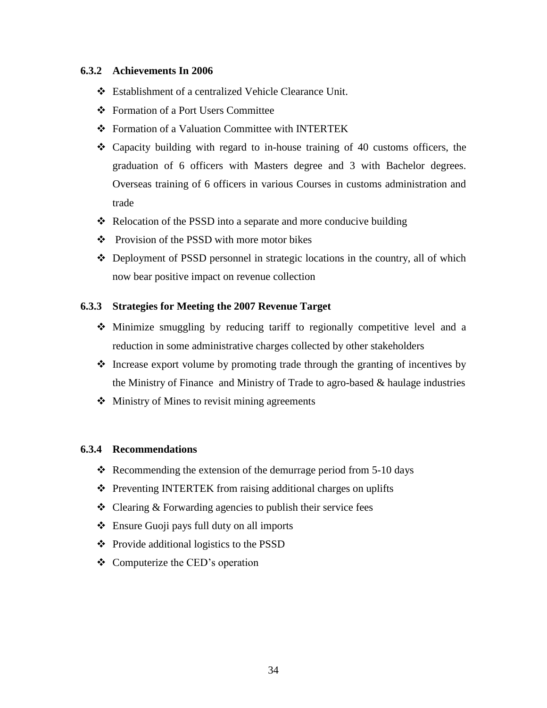## <span id="page-45-0"></span>**6.3.2 Achievements In 2006**

- Establishment of a centralized Vehicle Clearance Unit.
- Formation of a Port Users Committee
- Formation of a Valuation Committee with INTERTEK
- Capacity building with regard to in-house training of 40 customs officers, the graduation of 6 officers with Masters degree and 3 with Bachelor degrees. Overseas training of 6 officers in various Courses in customs administration and trade
- \* Relocation of the PSSD into a separate and more conducive building
- ❖ Provision of the PSSD with more motor bikes
- $\triangle$  Deployment of PSSD personnel in strategic locations in the country, all of which now bear positive impact on revenue collection

## <span id="page-45-1"></span>**6.3.3 Strategies for Meeting the 2007 Revenue Target**

- $\triangle$  Minimize smuggling by reducing tariff to regionally competitive level and a reduction in some administrative charges collected by other stakeholders
- $\triangleleft$  Increase export volume by promoting trade through the granting of incentives by the Ministry of Finance and Ministry of Trade to agro-based & haulage industries
- $\triangleleft$  Ministry of Mines to revisit mining agreements

## <span id="page-45-2"></span>**6.3.4 Recommendations**

- $\cdot$  Recommending the extension of the demurrage period from 5-10 days
- ❖ Preventing INTERTEK from raising additional charges on uplifts
- $\triangle$  Clearing  $\&$  Forwarding agencies to publish their service fees
- Ensure Guoji pays full duty on all imports
- ❖ Provide additional logistics to the PSSD
- $\triangleleft$  Computerize the CED's operation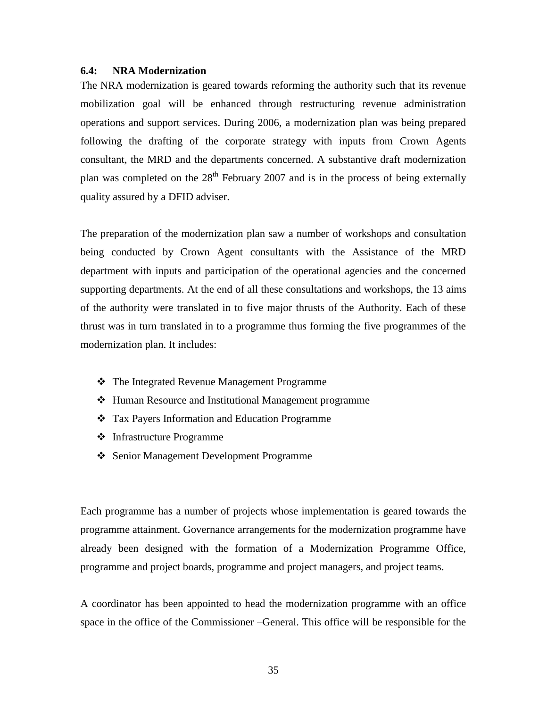### <span id="page-46-0"></span>**6.4: NRA Modernization**

The NRA modernization is geared towards reforming the authority such that its revenue mobilization goal will be enhanced through restructuring revenue administration operations and support services. During 2006, a modernization plan was being prepared following the drafting of the corporate strategy with inputs from Crown Agents consultant, the MRD and the departments concerned. A substantive draft modernization plan was completed on the  $28<sup>th</sup>$  February 2007 and is in the process of being externally quality assured by a DFID adviser.

The preparation of the modernization plan saw a number of workshops and consultation being conducted by Crown Agent consultants with the Assistance of the MRD department with inputs and participation of the operational agencies and the concerned supporting departments. At the end of all these consultations and workshops, the 13 aims of the authority were translated in to five major thrusts of the Authority. Each of these thrust was in turn translated in to a programme thus forming the five programmes of the modernization plan. It includes:

- The Integrated Revenue Management Programme
- ❖ Human Resource and Institutional Management programme
- Tax Payers Information and Education Programme
- Infrastructure Programme
- Senior Management Development Programme

Each programme has a number of projects whose implementation is geared towards the programme attainment. Governance arrangements for the modernization programme have already been designed with the formation of a Modernization Programme Office, programme and project boards, programme and project managers, and project teams.

A coordinator has been appointed to head the modernization programme with an office space in the office of the Commissioner –General. This office will be responsible for the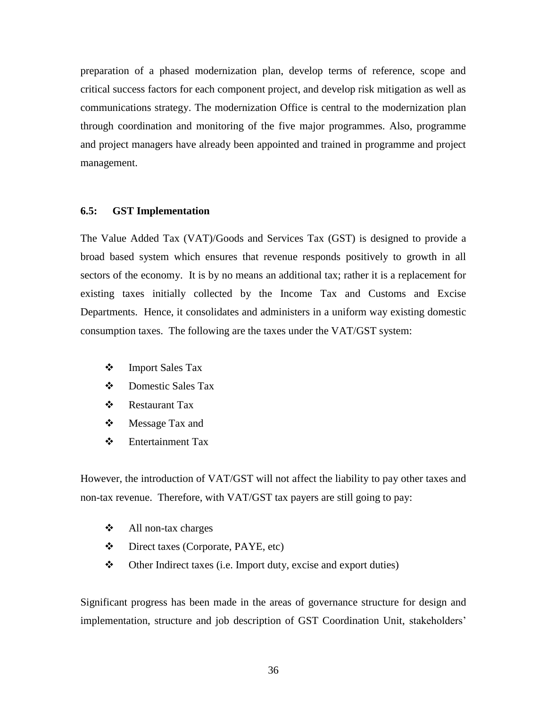preparation of a phased modernization plan, develop terms of reference, scope and critical success factors for each component project, and develop risk mitigation as well as communications strategy. The modernization Office is central to the modernization plan through coordination and monitoring of the five major programmes. Also, programme and project managers have already been appointed and trained in programme and project management.

#### <span id="page-47-0"></span>**6.5: GST Implementation**

The Value Added Tax (VAT)/Goods and Services Tax (GST) is designed to provide a broad based system which ensures that revenue responds positively to growth in all sectors of the economy. It is by no means an additional tax; rather it is a replacement for existing taxes initially collected by the Income Tax and Customs and Excise Departments. Hence, it consolidates and administers in a uniform way existing domestic consumption taxes. The following are the taxes under the VAT/GST system:

- Import Sales Tax
- Domestic Sales Tax
- Restaurant Tax
- Message Tax and
- Entertainment Tax

However, the introduction of VAT/GST will not affect the liability to pay other taxes and non-tax revenue. Therefore, with VAT/GST tax payers are still going to pay:

- All non-tax charges
- Direct taxes (Corporate, PAYE, etc)
- Other Indirect taxes (i.e. Import duty, excise and export duties)

Significant progress has been made in the areas of governance structure for design and implementation, structure and job description of GST Coordination Unit, stakeholders'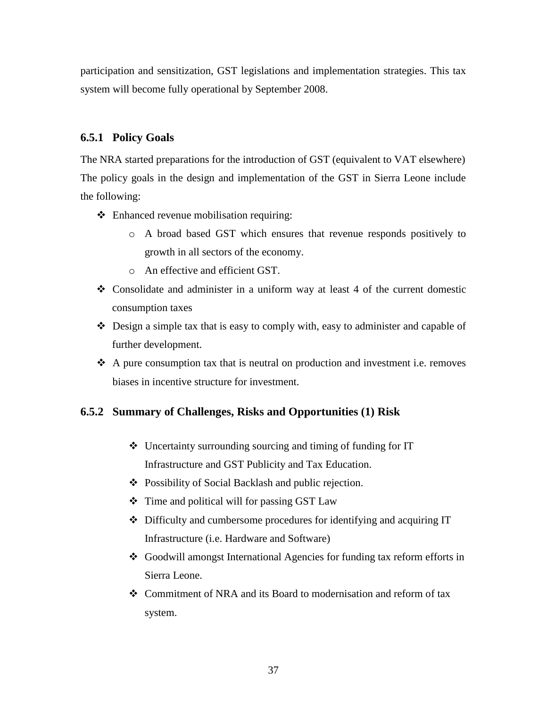participation and sensitization, GST legislations and implementation strategies. This tax system will become fully operational by September 2008.

## <span id="page-48-0"></span>**6.5.1 Policy Goals**

The NRA started preparations for the introduction of GST (equivalent to VAT elsewhere) The policy goals in the design and implementation of the GST in Sierra Leone include the following:

- Enhanced revenue mobilisation requiring:
	- o A broad based GST which ensures that revenue responds positively to growth in all sectors of the economy.
	- o An effective and efficient GST.
- Consolidate and administer in a uniform way at least 4 of the current domestic consumption taxes
- Design a simple tax that is easy to comply with, easy to administer and capable of further development.
- $\triangle$  A pure consumption tax that is neutral on production and investment i.e. removes biases in incentive structure for investment.

## <span id="page-48-1"></span>**6.5.2 Summary of Challenges, Risks and Opportunities (1) Risk**

- Uncertainty surrounding sourcing and timing of funding for IT Infrastructure and GST Publicity and Tax Education.
- Possibility of Social Backlash and public rejection.
- $\div$  Time and political will for passing GST Law
- Difficulty and cumbersome procedures for identifying and acquiring IT Infrastructure (i.e. Hardware and Software)
- Goodwill amongst International Agencies for funding tax reform efforts in Sierra Leone.
- Commitment of NRA and its Board to modernisation and reform of tax system.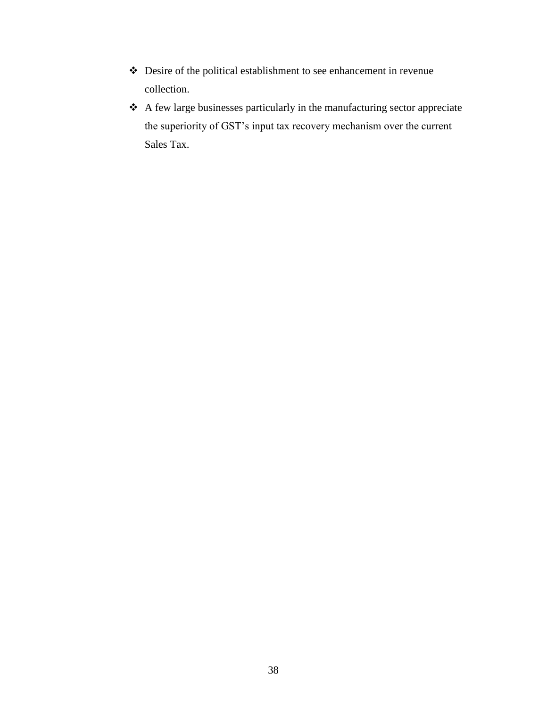- Desire of the political establishment to see enhancement in revenue collection.
- A few large businesses particularly in the manufacturing sector appreciate the superiority of GST's input tax recovery mechanism over the current Sales Tax.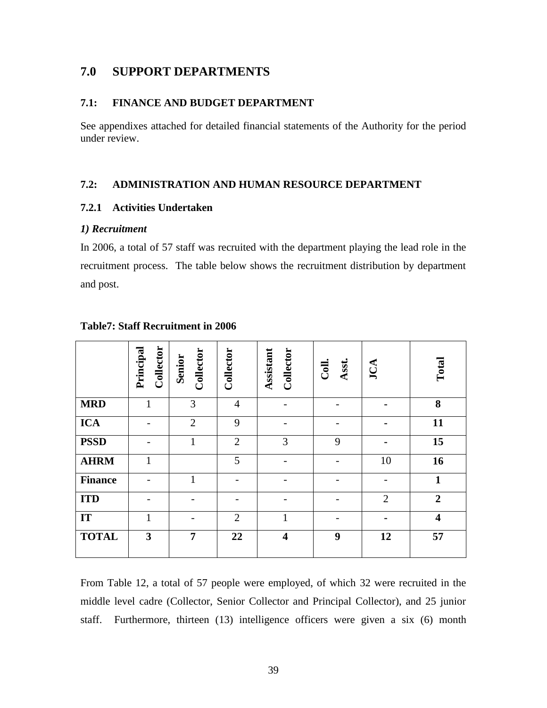## <span id="page-50-0"></span>**7.0 SUPPORT DEPARTMENTS**

## <span id="page-50-1"></span>**7.1: FINANCE AND BUDGET DEPARTMENT**

See appendixes attached for detailed financial statements of the Authority for the period under review.

## <span id="page-50-2"></span>**7.2: ADMINISTRATION AND HUMAN RESOURCE DEPARTMENT**

## <span id="page-50-3"></span>**7.2.1 Activities Undertaken**

### *1) Recruitment*

In 2006, a total of 57 staff was recruited with the department playing the lead role in the recruitment process. The table below shows the recruitment distribution by department and post.

|                | Principal<br>Collector | Collector<br>Senior | Collector      | Collector<br>Assistant  | Asst.<br>Coll | JCA            | Total                                                                                                                                                                                                                                                          |
|----------------|------------------------|---------------------|----------------|-------------------------|---------------|----------------|----------------------------------------------------------------------------------------------------------------------------------------------------------------------------------------------------------------------------------------------------------------|
| <b>MRD</b>     | $\mathbf{1}$           | 3                   | $\overline{4}$ |                         |               |                | 8                                                                                                                                                                                                                                                              |
| <b>ICA</b>     |                        | $\overline{2}$      | 9              |                         |               |                | 11                                                                                                                                                                                                                                                             |
| <b>PSSD</b>    |                        | $\mathbf{1}$        | $\overline{2}$ | 3                       | 9             |                | 15                                                                                                                                                                                                                                                             |
| <b>AHRM</b>    | 1                      |                     | 5              |                         |               | 10             | <b>16</b>                                                                                                                                                                                                                                                      |
| <b>Finance</b> |                        | $\mathbf{1}$        |                |                         |               |                | $\mathbf{1}$                                                                                                                                                                                                                                                   |
| <b>ITD</b>     |                        |                     |                |                         |               | $\overline{2}$ | $\overline{2}$                                                                                                                                                                                                                                                 |
| IT             | 1                      |                     | $\overline{2}$ | 1                       |               |                | $\overline{\mathbf{4}}$                                                                                                                                                                                                                                        |
| <b>TOTAL</b>   | 3                      | 7                   | 22             | $\overline{\mathbf{4}}$ | 9             | 12             | 57                                                                                                                                                                                                                                                             |
| staff.         |                        |                     |                |                         |               |                | From Table 12, a total of 57 people were employed, of which 32 were recruited in the<br>middle level cadre (Collector, Senior Collector and Principal Collector), and 25 junior<br>Furthermore, thirteen (13) intelligence officers were given a six (6) month |

### <span id="page-50-4"></span>**Table7: Staff Recruitment in 2006**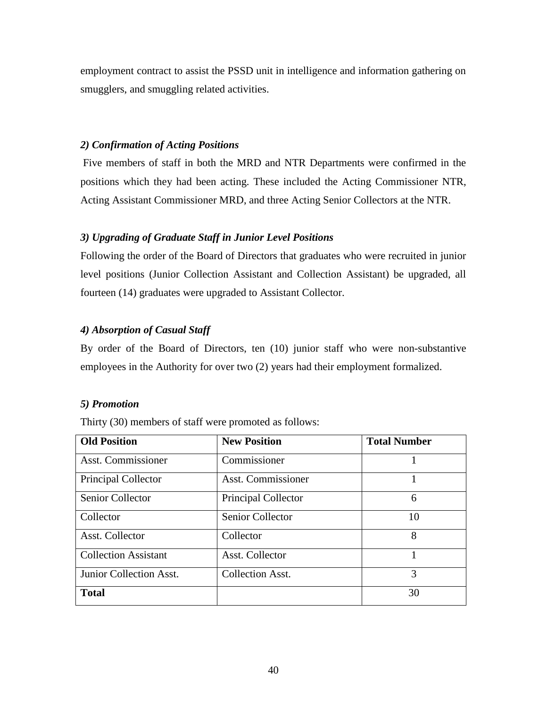employment contract to assist the PSSD unit in intelligence and information gathering on smugglers, and smuggling related activities.

## *2) Confirmation of Acting Positions*

Five members of staff in both the MRD and NTR Departments were confirmed in the positions which they had been acting. These included the Acting Commissioner NTR, Acting Assistant Commissioner MRD, and three Acting Senior Collectors at the NTR.

## *3) Upgrading of Graduate Staff in Junior Level Positions*

Following the order of the Board of Directors that graduates who were recruited in junior level positions (Junior Collection Assistant and Collection Assistant) be upgraded, all fourteen (14) graduates were upgraded to Assistant Collector.

## *4) Absorption of Casual Staff*

By order of the Board of Directors, ten (10) junior staff who were non-substantive employees in the Authority for over two (2) years had their employment formalized.

## *5) Promotion*

Thirty (30) members of staff were promoted as follows:

| <b>Old Position</b>         | <b>New Position</b>       | <b>Total Number</b> |
|-----------------------------|---------------------------|---------------------|
| <b>Asst. Commissioner</b>   | Commissioner              |                     |
| Principal Collector         | <b>Asst. Commissioner</b> |                     |
| Senior Collector            | Principal Collector       | 6                   |
| Collector                   | <b>Senior Collector</b>   | 10                  |
| Asst. Collector             | Collector                 | 8                   |
| <b>Collection Assistant</b> | Asst. Collector           |                     |
| Junior Collection Asst.     | <b>Collection Asst.</b>   | 3                   |
| <b>Total</b>                |                           | 30                  |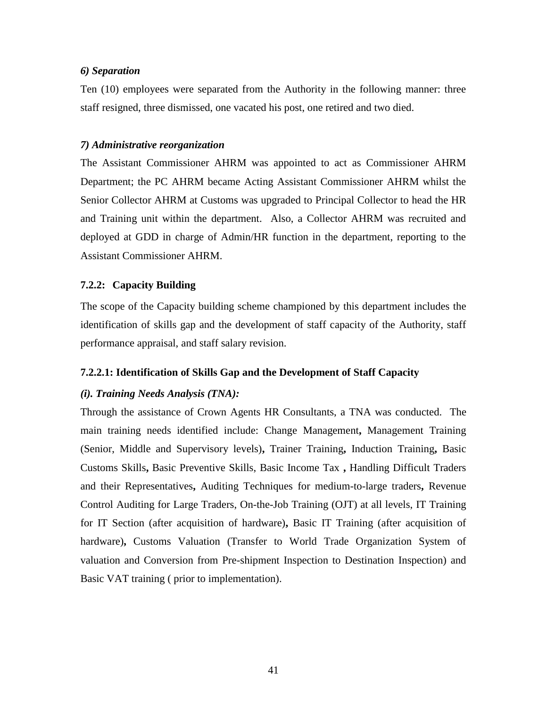### *6) Separation*

Ten (10) employees were separated from the Authority in the following manner: three staff resigned, three dismissed, one vacated his post, one retired and two died.

### *7) Administrative reorganization*

The Assistant Commissioner AHRM was appointed to act as Commissioner AHRM Department; the PC AHRM became Acting Assistant Commissioner AHRM whilst the Senior Collector AHRM at Customs was upgraded to Principal Collector to head the HR and Training unit within the department. Also, a Collector AHRM was recruited and deployed at GDD in charge of Admin/HR function in the department, reporting to the Assistant Commissioner AHRM.

## <span id="page-52-0"></span>**7.2.2: Capacity Building**

The scope of the Capacity building scheme championed by this department includes the identification of skills gap and the development of staff capacity of the Authority, staff performance appraisal, and staff salary revision.

## <span id="page-52-1"></span>**7.2.2.1: Identification of Skills Gap and the Development of Staff Capacity**

## *(i). Training Needs Analysis (TNA):*

Through the assistance of Crown Agents HR Consultants, a TNA was conducted. The main training needs identified include: Change Management**,** Management Training (Senior, Middle and Supervisory levels)**,** Trainer Training**,** Induction Training**,** Basic Customs Skills**,** Basic Preventive Skills, Basic Income Tax **,** Handling Difficult Traders and their Representatives**,** Auditing Techniques for medium-to-large traders**,** Revenue Control Auditing for Large Traders, On-the-Job Training (OJT) at all levels, IT Training for IT Section (after acquisition of hardware)**,** Basic IT Training (after acquisition of hardware)**,** Customs Valuation (Transfer to World Trade Organization System of valuation and Conversion from Pre-shipment Inspection to Destination Inspection) and Basic VAT training ( prior to implementation).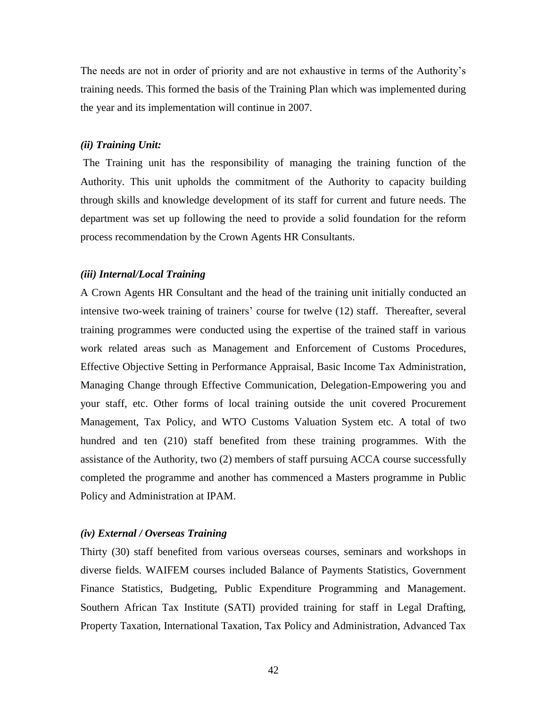The needs are not in order of priority and are not exhaustive in terms of the Authority's training needs. This formed the basis of the Training Plan which was implemented during the year and its implementation will continue in 2007.

#### *(ii) Training Unit:*

The Training unit has the responsibility of managing the training function of the Authority. This unit upholds the commitment of the Authority to capacity building through skills and knowledge development of its staff for current and future needs. The department was set up following the need to provide a solid foundation for the reform process recommendation by the Crown Agents HR Consultants.

#### *(iii) Internal/Local Training*

A Crown Agents HR Consultant and the head of the training unit initially conducted an intensive two-week training of trainers' course for twelve (12) staff. Thereafter, several training programmes were conducted using the expertise of the trained staff in various work related areas such as Management and Enforcement of Customs Procedures, Effective Objective Setting in Performance Appraisal, Basic Income Tax Administration, Managing Change through Effective Communication, Delegation-Empowering you and your staff, etc. Other forms of local training outside the unit covered Procurement Management, Tax Policy, and WTO Customs Valuation System etc. A total of two hundred and ten (210) staff benefited from these training programmes. With the assistance of the Authority, two (2) members of staff pursuing ACCA course successfully completed the programme and another has commenced a Masters programme in Public Policy and Administration at IPAM.

#### *(iv) External / Overseas Training*

Thirty (30) staff benefited from various overseas courses, seminars and workshops in diverse fields. WAIFEM courses included Balance of Payments Statistics, Government Finance Statistics, Budgeting, Public Expenditure Programming and Management. Southern African Tax Institute (SATI) provided training for staff in Legal Drafting, Property Taxation, International Taxation, Tax Policy and Administration, Advanced Tax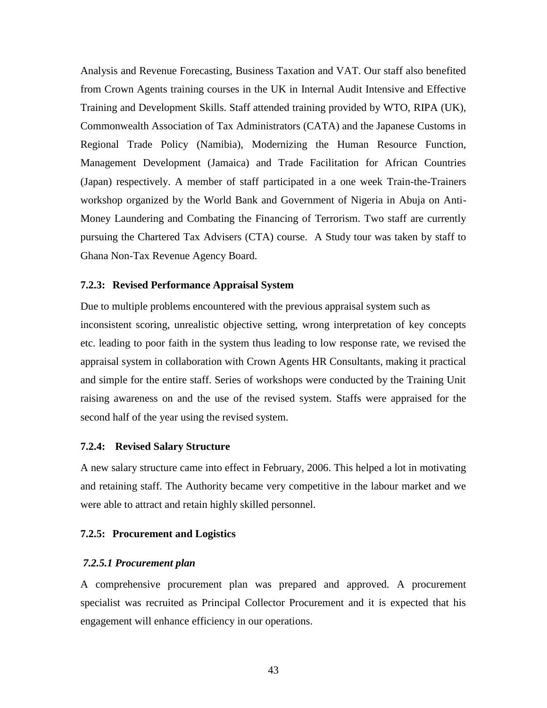Analysis and Revenue Forecasting, Business Taxation and VAT. Our staff also benefited from Crown Agents training courses in the UK in Internal Audit Intensive and Effective Training and Development Skills. Staff attended training provided by WTO, RIPA (UK), Commonwealth Association of Tax Administrators (CATA) and the Japanese Customs in Regional Trade Policy (Namibia), Modernizing the Human Resource Function, Management Development (Jamaica) and Trade Facilitation for African Countries (Japan) respectively. A member of staff participated in a one week Train-the-Trainers workshop organized by the World Bank and Government of Nigeria in Abuja on Anti-Money Laundering and Combating the Financing of Terrorism. Two staff are currently pursuing the Chartered Tax Advisers (CTA) course. A Study tour was taken by staff to Ghana Non-Tax Revenue Agency Board.

#### <span id="page-54-0"></span>**7.2.3: Revised Performance Appraisal System**

Due to multiple problems encountered with the previous appraisal system such as inconsistent scoring, unrealistic objective setting, wrong interpretation of key concepts etc. leading to poor faith in the system thus leading to low response rate, we revised the appraisal system in collaboration with Crown Agents HR Consultants, making it practical and simple for the entire staff. Series of workshops were conducted by the Training Unit raising awareness on and the use of the revised system. Staffs were appraised for the second half of the year using the revised system.

#### <span id="page-54-1"></span>**7.2.4: Revised Salary Structure**

A new salary structure came into effect in February, 2006. This helped a lot in motivating and retaining staff. The Authority became very competitive in the labour market and we were able to attract and retain highly skilled personnel.

#### <span id="page-54-2"></span>**7.2.5: Procurement and Logistics**

#### <span id="page-54-3"></span>*7.2.5.1 Procurement plan*

A comprehensive procurement plan was prepared and approved. A procurement specialist was recruited as Principal Collector Procurement and it is expected that his engagement will enhance efficiency in our operations.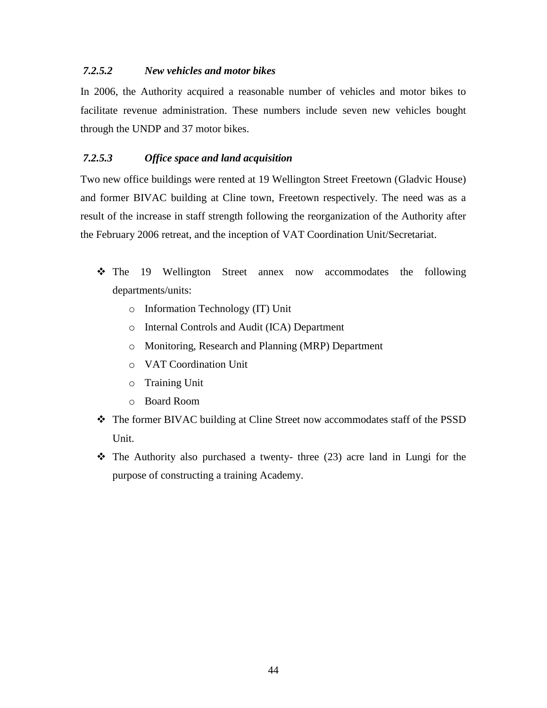## <span id="page-55-0"></span>*7.2.5.2 New vehicles and motor bikes*

In 2006, the Authority acquired a reasonable number of vehicles and motor bikes to facilitate revenue administration. These numbers include seven new vehicles bought through the UNDP and 37 motor bikes.

## <span id="page-55-1"></span>*7.2.5.3 Office space and land acquisition*

Two new office buildings were rented at 19 Wellington Street Freetown (Gladvic House) and former BIVAC building at Cline town, Freetown respectively. The need was as a result of the increase in staff strength following the reorganization of the Authority after the February 2006 retreat, and the inception of VAT Coordination Unit/Secretariat.

- The 19 Wellington Street annex now accommodates the following departments/units:
	- o Information Technology (IT) Unit
	- o Internal Controls and Audit (ICA) Department
	- o Monitoring, Research and Planning (MRP) Department
	- o VAT Coordination Unit
	- o Training Unit
	- o Board Room
- The former BIVAC building at Cline Street now accommodates staff of the PSSD Unit.
- $\cdot \cdot$  The Authority also purchased a twenty- three (23) acre land in Lungi for the purpose of constructing a training Academy.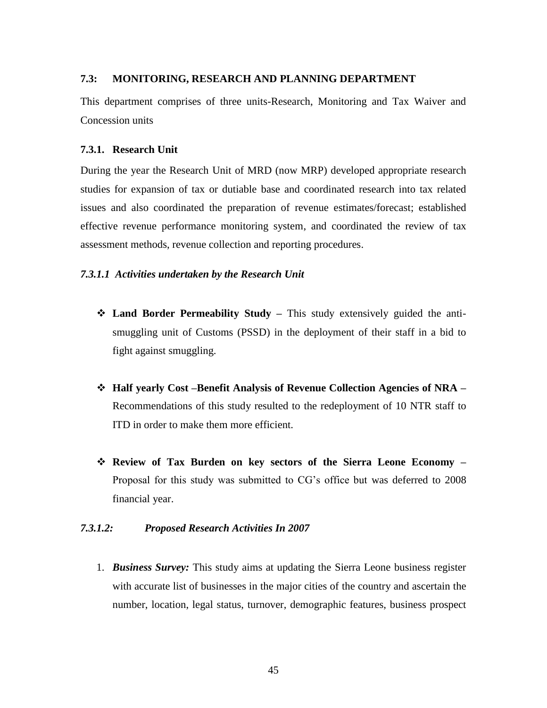### <span id="page-56-0"></span>**7.3: MONITORING, RESEARCH AND PLANNING DEPARTMENT**

This department comprises of three units-Research, Monitoring and Tax Waiver and Concession units

#### <span id="page-56-1"></span>**7.3.1. Research Unit**

During the year the Research Unit of MRD (now MRP) developed appropriate research studies for expansion of tax or dutiable base and coordinated research into tax related issues and also coordinated the preparation of revenue estimates/forecast; established effective revenue performance monitoring system, and coordinated the review of tax assessment methods, revenue collection and reporting procedures.

#### <span id="page-56-2"></span>*7.3.1.1 Activities undertaken by the Research Unit*

- **Land Border Permeability Study –** This study extensively guided the antismuggling unit of Customs (PSSD) in the deployment of their staff in a bid to fight against smuggling.
- **Half yearly Cost –Benefit Analysis of Revenue Collection Agencies of NRA –** Recommendations of this study resulted to the redeployment of 10 NTR staff to ITD in order to make them more efficient.
- **Review of Tax Burden on key sectors of the Sierra Leone Economy –** Proposal for this study was submitted to CG's office but was deferred to 2008 financial year.

### <span id="page-56-3"></span>*7.3.1.2: Proposed Research Activities In 2007*

1. *Business Survey:* This study aims at updating the Sierra Leone business register with accurate list of businesses in the major cities of the country and ascertain the number, location, legal status, turnover, demographic features, business prospect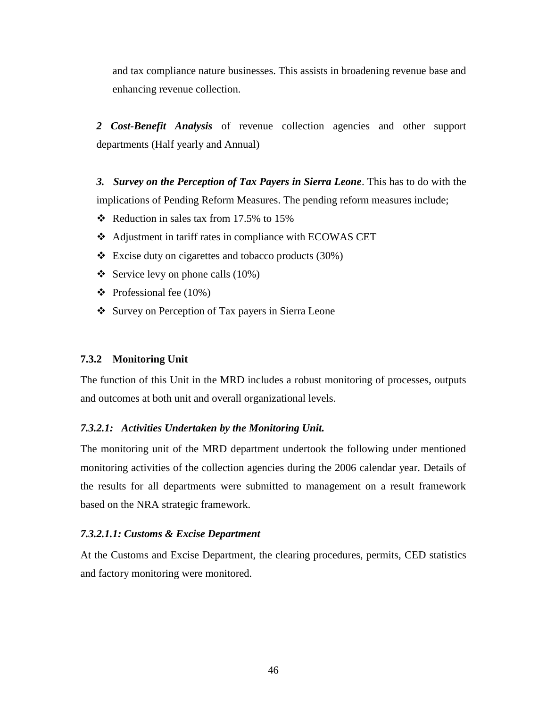and tax compliance nature businesses. This assists in broadening revenue base and enhancing revenue collection.

*2 Cost-Benefit Analysis* of revenue collection agencies and other support departments (Half yearly and Annual)

*3. Survey on the Perception of Tax Payers in Sierra Leone*. This has to do with the implications of Pending Reform Measures. The pending reform measures include;

- Reduction in sales tax from 17.5% to 15%
- Adjustment in tariff rates in compliance with ECOWAS CET
- $\div$  Excise duty on cigarettes and tobacco products (30%)
- Service levy on phone calls  $(10\%)$
- $\div$  Professional fee (10%)
- Survey on Perception of Tax payers in Sierra Leone

#### <span id="page-57-0"></span>**7.3.2 Monitoring Unit**

The function of this Unit in the MRD includes a robust monitoring of processes, outputs and outcomes at both unit and overall organizational levels.

#### <span id="page-57-1"></span>*7.3.2.1: Activities Undertaken by the Monitoring Unit.*

The monitoring unit of the MRD department undertook the following under mentioned monitoring activities of the collection agencies during the 2006 calendar year. Details of the results for all departments were submitted to management on a result framework based on the NRA strategic framework.

#### <span id="page-57-2"></span>*7.3.2.1.1: Customs & Excise Department*

At the Customs and Excise Department, the clearing procedures, permits, CED statistics and factory monitoring were monitored.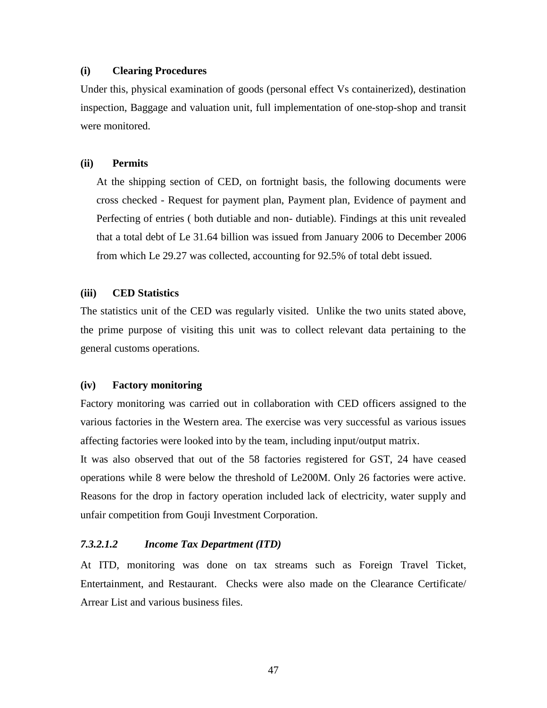#### **(i) Clearing Procedures**

Under this, physical examination of goods (personal effect Vs containerized), destination inspection, Baggage and valuation unit, full implementation of one-stop-shop and transit were monitored.

#### **(ii) Permits**

At the shipping section of CED, on fortnight basis, the following documents were cross checked - Request for payment plan, Payment plan, Evidence of payment and Perfecting of entries ( both dutiable and non- dutiable). Findings at this unit revealed that a total debt of Le 31.64 billion was issued from January 2006 to December 2006 from which Le 29.27 was collected, accounting for 92.5% of total debt issued.

#### **(iii) CED Statistics**

The statistics unit of the CED was regularly visited. Unlike the two units stated above, the prime purpose of visiting this unit was to collect relevant data pertaining to the general customs operations.

#### **(iv) Factory monitoring**

Factory monitoring was carried out in collaboration with CED officers assigned to the various factories in the Western area. The exercise was very successful as various issues affecting factories were looked into by the team, including input/output matrix.

It was also observed that out of the 58 factories registered for GST, 24 have ceased operations while 8 were below the threshold of Le200M. Only 26 factories were active. Reasons for the drop in factory operation included lack of electricity, water supply and unfair competition from Gouji Investment Corporation.

#### <span id="page-58-0"></span>*7.3.2.1.2 Income Tax Department (ITD)*

At ITD, monitoring was done on tax streams such as Foreign Travel Ticket, Entertainment, and Restaurant. Checks were also made on the Clearance Certificate/ Arrear List and various business files.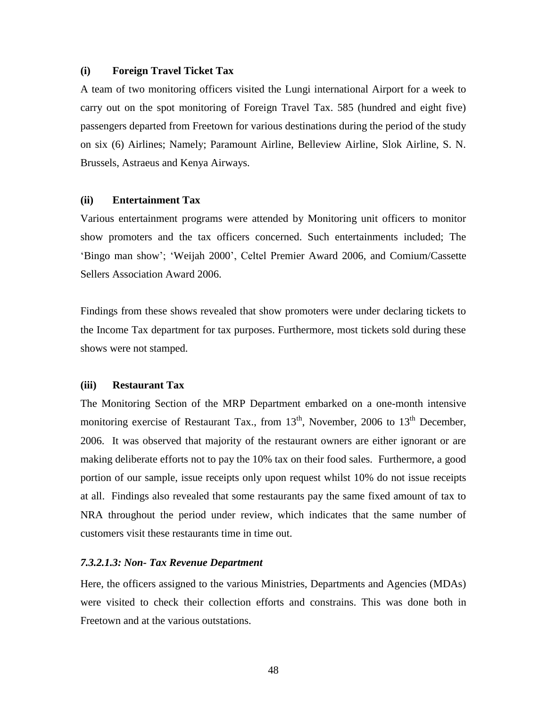#### **(i) Foreign Travel Ticket Tax**

A team of two monitoring officers visited the Lungi international Airport for a week to carry out on the spot monitoring of Foreign Travel Tax. 585 (hundred and eight five) passengers departed from Freetown for various destinations during the period of the study on six (6) Airlines; Namely; Paramount Airline, Belleview Airline, Slok Airline, S. N. Brussels, Astraeus and Kenya Airways.

#### **(ii) Entertainment Tax**

Various entertainment programs were attended by Monitoring unit officers to monitor show promoters and the tax officers concerned. Such entertainments included; The 'Bingo man show'; 'Weijah 2000', Celtel Premier Award 2006, and Comium/Cassette Sellers Association Award 2006.

Findings from these shows revealed that show promoters were under declaring tickets to the Income Tax department for tax purposes. Furthermore, most tickets sold during these shows were not stamped.

#### **(iii) Restaurant Tax**

The Monitoring Section of the MRP Department embarked on a one-month intensive monitoring exercise of Restaurant Tax., from  $13<sup>th</sup>$ , November, 2006 to  $13<sup>th</sup>$  December, 2006. It was observed that majority of the restaurant owners are either ignorant or are making deliberate efforts not to pay the 10% tax on their food sales. Furthermore, a good portion of our sample, issue receipts only upon request whilst 10% do not issue receipts at all. Findings also revealed that some restaurants pay the same fixed amount of tax to NRA throughout the period under review, which indicates that the same number of customers visit these restaurants time in time out.

#### <span id="page-59-0"></span>*7.3.2.1.3: Non- Tax Revenue Department*

Here, the officers assigned to the various Ministries, Departments and Agencies (MDAs) were visited to check their collection efforts and constrains. This was done both in Freetown and at the various outstations.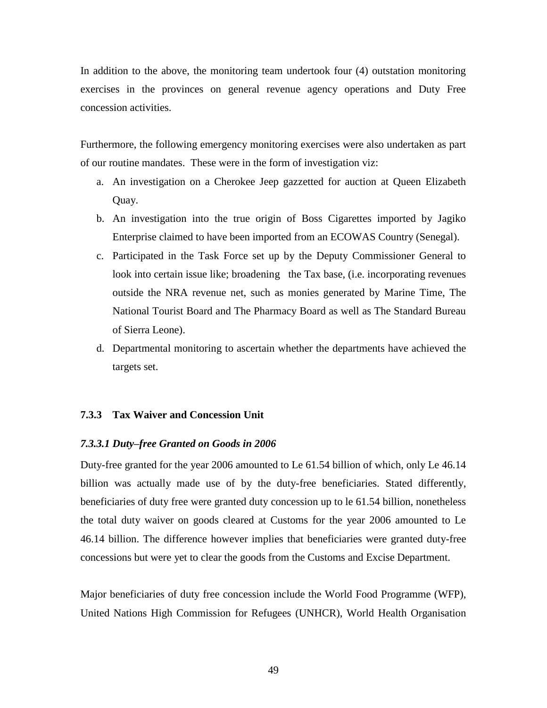In addition to the above, the monitoring team undertook four (4) outstation monitoring exercises in the provinces on general revenue agency operations and Duty Free concession activities.

Furthermore, the following emergency monitoring exercises were also undertaken as part of our routine mandates. These were in the form of investigation viz:

- a. An investigation on a Cherokee Jeep gazzetted for auction at Queen Elizabeth Quay.
- b. An investigation into the true origin of Boss Cigarettes imported by Jagiko Enterprise claimed to have been imported from an ECOWAS Country (Senegal).
- c. Participated in the Task Force set up by the Deputy Commissioner General to look into certain issue like; broadening the Tax base, (i.e. incorporating revenues outside the NRA revenue net, such as monies generated by Marine Time, The National Tourist Board and The Pharmacy Board as well as The Standard Bureau of Sierra Leone).
- d. Departmental monitoring to ascertain whether the departments have achieved the targets set.

#### <span id="page-60-0"></span>**7.3.3 Tax Waiver and Concession Unit**

#### <span id="page-60-1"></span>*7.3.3.1 Duty–free Granted on Goods in 2006*

Duty-free granted for the year 2006 amounted to Le 61.54 billion of which, only Le 46.14 billion was actually made use of by the duty-free beneficiaries. Stated differently, beneficiaries of duty free were granted duty concession up to le 61.54 billion, nonetheless the total duty waiver on goods cleared at Customs for the year 2006 amounted to Le 46.14 billion. The difference however implies that beneficiaries were granted duty-free concessions but were yet to clear the goods from the Customs and Excise Department.

Major beneficiaries of duty free concession include the World Food Programme (WFP), United Nations High Commission for Refugees (UNHCR), World Health Organisation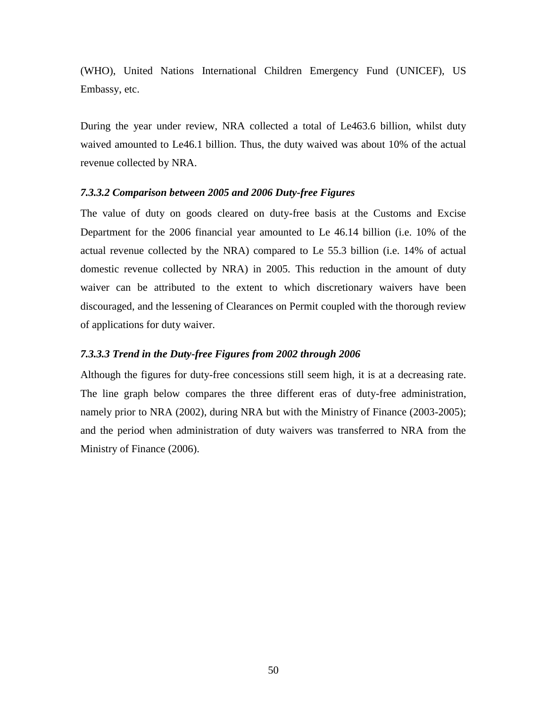(WHO), United Nations International Children Emergency Fund (UNICEF), US Embassy, etc.

During the year under review, NRA collected a total of Le463.6 billion, whilst duty waived amounted to Le46.1 billion. Thus, the duty waived was about 10% of the actual revenue collected by NRA.

#### <span id="page-61-0"></span>*7.3.3.2 Comparison between 2005 and 2006 Duty-free Figures*

The value of duty on goods cleared on duty-free basis at the Customs and Excise Department for the 2006 financial year amounted to Le 46.14 billion (i.e. 10% of the actual revenue collected by the NRA) compared to Le 55.3 billion (i.e. 14% of actual domestic revenue collected by NRA) in 2005. This reduction in the amount of duty waiver can be attributed to the extent to which discretionary waivers have been discouraged, and the lessening of Clearances on Permit coupled with the thorough review of applications for duty waiver.

#### <span id="page-61-1"></span>*7.3.3.3 Trend in the Duty-free Figures from 2002 through 2006*

Although the figures for duty-free concessions still seem high, it is at a decreasing rate. The line graph below compares the three different eras of duty-free administration, namely prior to NRA (2002), during NRA but with the Ministry of Finance (2003-2005); and the period when administration of duty waivers was transferred to NRA from the Ministry of Finance (2006).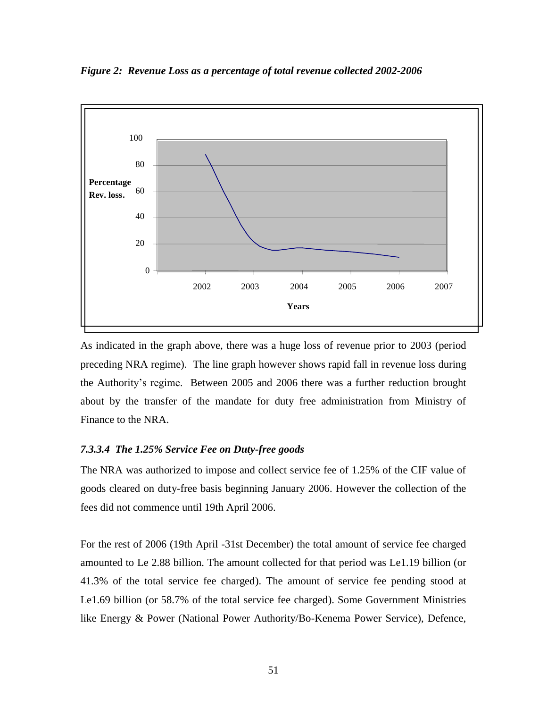<span id="page-62-1"></span>*Figure 2: Revenue Loss as a percentage of total revenue collected 2002-2006*



As indicated in the graph above, there was a huge loss of revenue prior to 2003 (period preceding NRA regime). The line graph however shows rapid fall in revenue loss during the Authority's regime. Between 2005 and 2006 there was a further reduction brought about by the transfer of the mandate for duty free administration from Ministry of Finance to the NRA.

## <span id="page-62-0"></span>*7.3.3.4 The 1.25% Service Fee on Duty-free goods*

The NRA was authorized to impose and collect service fee of 1.25% of the CIF value of goods cleared on duty-free basis beginning January 2006. However the collection of the fees did not commence until 19th April 2006.

For the rest of 2006 (19th April -31st December) the total amount of service fee charged amounted to Le 2.88 billion. The amount collected for that period was Le1.19 billion (or 41.3% of the total service fee charged). The amount of service fee pending stood at Le1.69 billion (or 58.7% of the total service fee charged). Some Government Ministries like Energy & Power (National Power Authority/Bo-Kenema Power Service), Defence,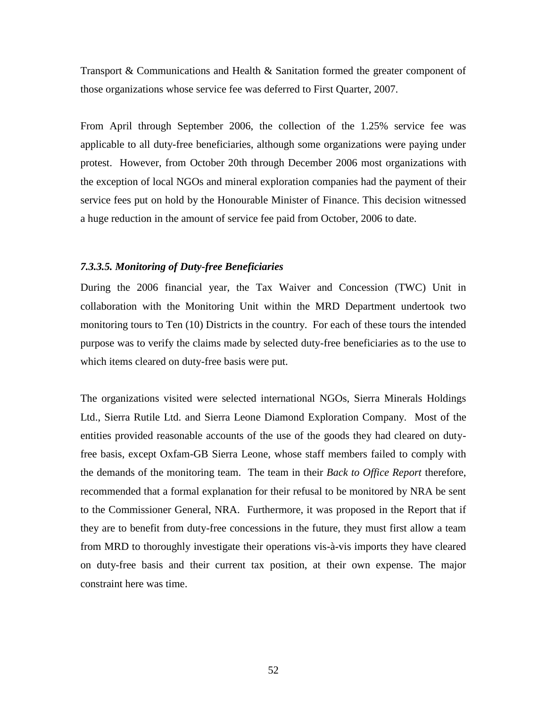Transport & Communications and Health & Sanitation formed the greater component of those organizations whose service fee was deferred to First Quarter, 2007.

From April through September 2006, the collection of the 1.25% service fee was applicable to all duty-free beneficiaries, although some organizations were paying under protest. However, from October 20th through December 2006 most organizations with the exception of local NGOs and mineral exploration companies had the payment of their service fees put on hold by the Honourable Minister of Finance. This decision witnessed a huge reduction in the amount of service fee paid from October, 2006 to date.

#### <span id="page-63-0"></span>*7.3.3.5. Monitoring of Duty-free Beneficiaries*

During the 2006 financial year, the Tax Waiver and Concession (TWC) Unit in collaboration with the Monitoring Unit within the MRD Department undertook two monitoring tours to Ten (10) Districts in the country. For each of these tours the intended purpose was to verify the claims made by selected duty-free beneficiaries as to the use to which items cleared on duty-free basis were put.

The organizations visited were selected international NGOs, Sierra Minerals Holdings Ltd., Sierra Rutile Ltd. and Sierra Leone Diamond Exploration Company. Most of the entities provided reasonable accounts of the use of the goods they had cleared on dutyfree basis, except Oxfam-GB Sierra Leone, whose staff members failed to comply with the demands of the monitoring team. The team in their *Back to Office Report* therefore, recommended that a formal explanation for their refusal to be monitored by NRA be sent to the Commissioner General, NRA. Furthermore, it was proposed in the Report that if they are to benefit from duty-free concessions in the future, they must first allow a team from MRD to thoroughly investigate their operations vis-à-vis imports they have cleared on duty-free basis and their current tax position, at their own expense. The major constraint here was time.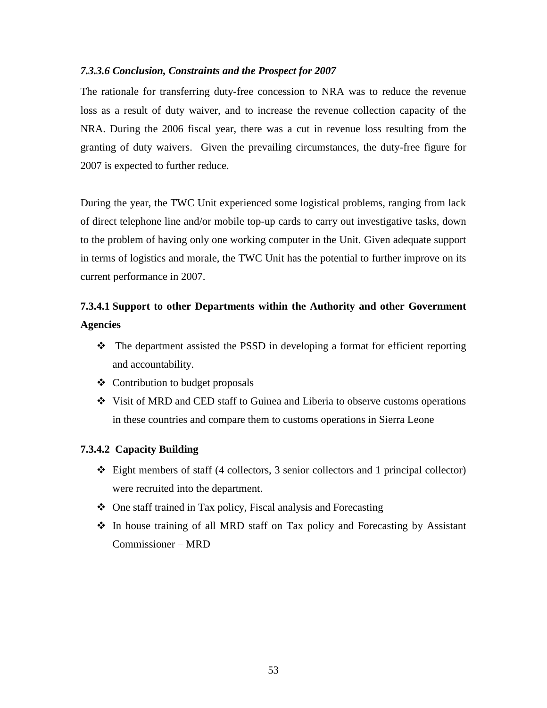## <span id="page-64-0"></span>*7.3.3.6 Conclusion, Constraints and the Prospect for 2007*

The rationale for transferring duty-free concession to NRA was to reduce the revenue loss as a result of duty waiver, and to increase the revenue collection capacity of the NRA. During the 2006 fiscal year, there was a cut in revenue loss resulting from the granting of duty waivers. Given the prevailing circumstances, the duty-free figure for 2007 is expected to further reduce.

During the year, the TWC Unit experienced some logistical problems, ranging from lack of direct telephone line and/or mobile top-up cards to carry out investigative tasks, down to the problem of having only one working computer in the Unit. Given adequate support in terms of logistics and morale, the TWC Unit has the potential to further improve on its current performance in 2007.

# <span id="page-64-1"></span>**7.3.4.1 Support to other Departments within the Authority and other Government Agencies**

- The department assisted the PSSD in developing a format for efficient reporting and accountability.
- $\triangleleft$  Contribution to budget proposals
- Visit of MRD and CED staff to Guinea and Liberia to observe customs operations in these countries and compare them to customs operations in Sierra Leone

## <span id="page-64-2"></span>**7.3.4.2 Capacity Building**

- $\triangleleft$  Eight members of staff (4 collectors, 3 senior collectors and 1 principal collector) were recruited into the department.
- One staff trained in Tax policy, Fiscal analysis and Forecasting
- In house training of all MRD staff on Tax policy and Forecasting by Assistant Commissioner – MRD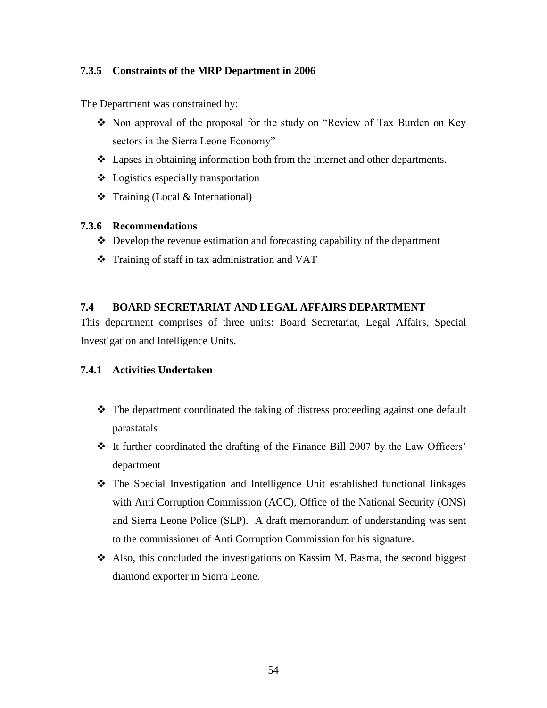## <span id="page-65-0"></span>**7.3.5 Constraints of the MRP Department in 2006**

The Department was constrained by:

- Non approval of the proposal for the study on "Review of Tax Burden on Key" sectors in the Sierra Leone Economy"
- Lapses in obtaining information both from the internet and other departments.
- Logistics especially transportation
- $\triangle$  Training (Local & International)

## <span id="page-65-1"></span>**7.3.6 Recommendations**

- $\triangle$  Develop the revenue estimation and forecasting capability of the department
- Training of staff in tax administration and VAT

## <span id="page-65-2"></span>**7.4 BOARD SECRETARIAT AND LEGAL AFFAIRS DEPARTMENT**

This department comprises of three units: Board Secretariat, Legal Affairs, Special Investigation and Intelligence Units.

## <span id="page-65-3"></span>**7.4.1 Activities Undertaken**

- The department coordinated the taking of distress proceeding against one default parastatals
- It further coordinated the drafting of the Finance Bill 2007 by the Law Officers' department
- The Special Investigation and Intelligence Unit established functional linkages with Anti Corruption Commission (ACC), Office of the National Security (ONS) and Sierra Leone Police (SLP). A draft memorandum of understanding was sent to the commissioner of Anti Corruption Commission for his signature.
- Also, this concluded the investigations on Kassim M. Basma, the second biggest diamond exporter in Sierra Leone.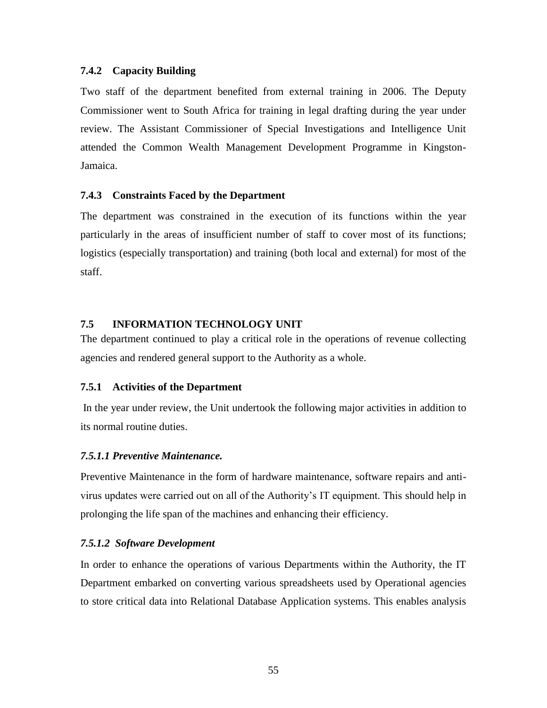### <span id="page-66-0"></span>**7.4.2 Capacity Building**

Two staff of the department benefited from external training in 2006. The Deputy Commissioner went to South Africa for training in legal drafting during the year under review. The Assistant Commissioner of Special Investigations and Intelligence Unit attended the Common Wealth Management Development Programme in Kingston-Jamaica.

### <span id="page-66-1"></span>**7.4.3 Constraints Faced by the Department**

The department was constrained in the execution of its functions within the year particularly in the areas of insufficient number of staff to cover most of its functions; logistics (especially transportation) and training (both local and external) for most of the staff.

## <span id="page-66-2"></span>**7.5 INFORMATION TECHNOLOGY UNIT**

The department continued to play a critical role in the operations of revenue collecting agencies and rendered general support to the Authority as a whole.

#### <span id="page-66-3"></span>**7.5.1 Activities of the Department**

In the year under review, the Unit undertook the following major activities in addition to its normal routine duties.

#### <span id="page-66-4"></span>*7.5.1.1 Preventive Maintenance.*

Preventive Maintenance in the form of hardware maintenance, software repairs and antivirus updates were carried out on all of the Authority's IT equipment. This should help in prolonging the life span of the machines and enhancing their efficiency.

#### <span id="page-66-5"></span>*7.5.1.2 Software Development*

In order to enhance the operations of various Departments within the Authority, the IT Department embarked on converting various spreadsheets used by Operational agencies to store critical data into Relational Database Application systems. This enables analysis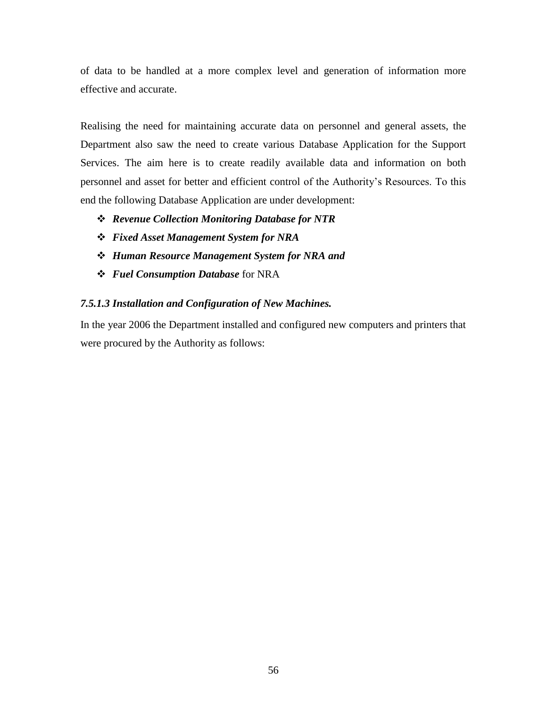of data to be handled at a more complex level and generation of information more effective and accurate.

Realising the need for maintaining accurate data on personnel and general assets, the Department also saw the need to create various Database Application for the Support Services. The aim here is to create readily available data and information on both personnel and asset for better and efficient control of the Authority's Resources. To this end the following Database Application are under development:

- *Revenue Collection Monitoring Database for NTR*
- *Fixed Asset Management System for NRA*
- *Human Resource Management System for NRA and*
- *Fuel Consumption Database* for NRA

## <span id="page-67-0"></span>*7.5.1.3 Installation and Configuration of New Machines.*

<span id="page-67-1"></span>In the year 2006 the Department installed and configured new computers and printers that were procured by the Authority as follows: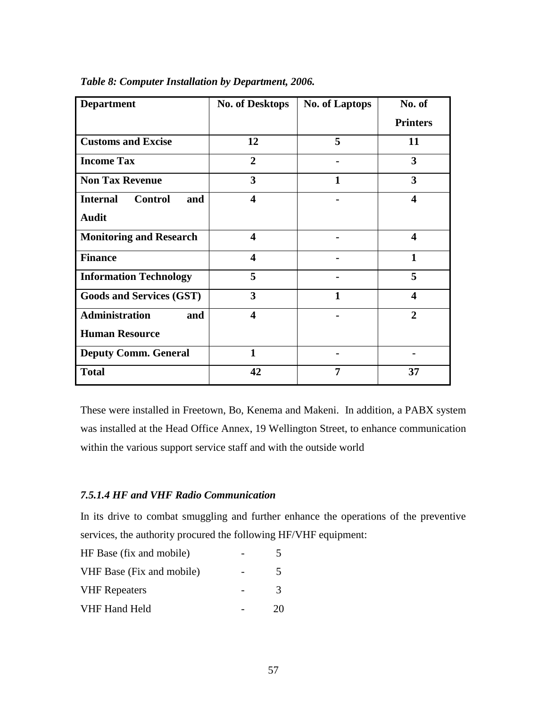| <b>Department</b>                        | <b>No. of Desktops</b>  | <b>No. of Laptops</b> | No. of                  |
|------------------------------------------|-------------------------|-----------------------|-------------------------|
|                                          |                         |                       | <b>Printers</b>         |
| <b>Customs and Excise</b>                | 12                      | 5                     | 11                      |
| <b>Income Tax</b>                        | $\overline{2}$          |                       | 3                       |
| <b>Non Tax Revenue</b>                   | 3                       | 1                     | 3                       |
| <b>Internal</b><br><b>Control</b><br>and | $\overline{\mathbf{4}}$ |                       | $\overline{\mathbf{4}}$ |
| <b>Audit</b>                             |                         |                       |                         |
| <b>Monitoring and Research</b>           | $\overline{\mathbf{4}}$ |                       | $\overline{\mathbf{4}}$ |
| <b>Finance</b>                           | $\overline{\mathbf{4}}$ |                       | $\mathbf{1}$            |
| <b>Information Technology</b>            | 5                       |                       | 5                       |
| <b>Goods and Services (GST)</b>          | 3                       | 1                     | $\overline{\mathbf{4}}$ |
| <b>Administration</b><br>and             | $\overline{\mathbf{4}}$ |                       | $\overline{2}$          |
| <b>Human Resource</b>                    |                         |                       |                         |
| <b>Deputy Comm. General</b>              | $\mathbf{1}$            |                       |                         |
| <b>Total</b>                             | 42                      | 7                     | 37                      |

| Table 8: Computer Installation by Department, 2006. |  |  |  |
|-----------------------------------------------------|--|--|--|
|-----------------------------------------------------|--|--|--|

These were installed in Freetown, Bo, Kenema and Makeni. In addition, a PABX system was installed at the Head Office Annex, 19 Wellington Street, to enhance communication within the various support service staff and with the outside world

## <span id="page-68-0"></span>*7.5.1.4 HF and VHF Radio Communication*

In its drive to combat smuggling and further enhance the operations of the preventive services, the authority procured the following HF/VHF equipment:

| HF Base (fix and mobile)  |               |
|---------------------------|---------------|
| VHF Base (Fix and mobile) | 5             |
| <b>VHF</b> Repeaters      | $\mathcal{R}$ |
| VHF Hand Held             | 20            |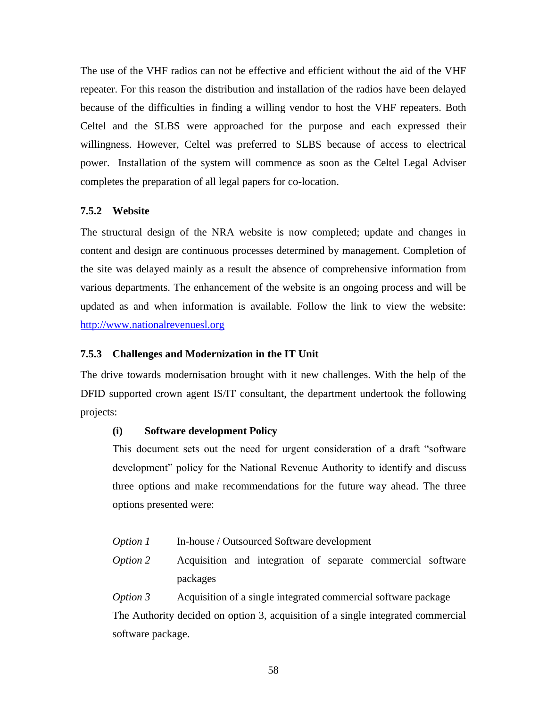The use of the VHF radios can not be effective and efficient without the aid of the VHF repeater. For this reason the distribution and installation of the radios have been delayed because of the difficulties in finding a willing vendor to host the VHF repeaters. Both Celtel and the SLBS were approached for the purpose and each expressed their willingness. However, Celtel was preferred to SLBS because of access to electrical power. Installation of the system will commence as soon as the Celtel Legal Adviser completes the preparation of all legal papers for co-location.

### <span id="page-69-0"></span>**7.5.2 Website**

The structural design of the NRA website is now completed; update and changes in content and design are continuous processes determined by management. Completion of the site was delayed mainly as a result the absence of comprehensive information from various departments. The enhancement of the website is an ongoing process and will be updated as and when information is available. Follow the link to view the website: [http://www.nationalrevenuesl.org](http://www.nationalrevenuesl.org/)

### <span id="page-69-1"></span>**7.5.3 Challenges and Modernization in the IT Unit**

The drive towards modernisation brought with it new challenges. With the help of the DFID supported crown agent IS/IT consultant, the department undertook the following projects:

#### **(i) Software development Policy**

This document sets out the need for urgent consideration of a draft "software development" policy for the National Revenue Authority to identify and discuss three options and make recommendations for the future way ahead. The three options presented were:

- *Option 1* In-house / Outsourced Software development
- *Option 2* Acquisition and integration of separate commercial software packages

*Option 3* Acquisition of a single integrated commercial software package The Authority decided on option 3, acquisition of a single integrated commercial software package.